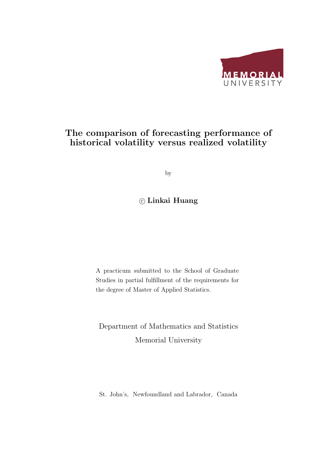

### The comparison of forecasting performance of historical volatility versus realized volatility

by

### ⃝<sup>c</sup> Linkai Huang

A practicum submitted to the School of Graduate Studies in partial fulfillment of the requirements for the degree of Master of Applied Statistics.

Department of Mathematics and Statistics Memorial University

St. John's, Newfoundland and Labrador, Canada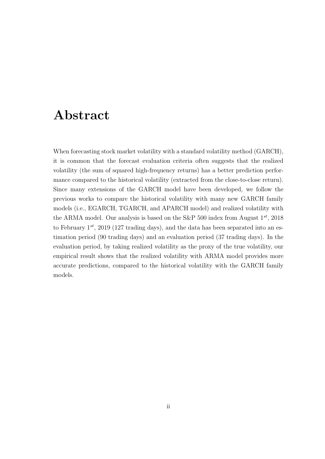## Abstract

When forecasting stock market volatility with a standard volatility method (GARCH), it is common that the forecast evaluation criteria often suggests that the realized volatility (the sum of squared high-frequency returns) has a better prediction performance compared to the historical volatility (extracted from the close-to-close return). Since many extensions of the GARCH model have been developed, we follow the previous works to compare the historical volatility with many new GARCH family models (i.e., EGARCH, TGARCH, and APARCH model) and realized volatility with the ARMA model. Our analysis is based on the S&P 500 index from August 1*st*, 2018 to February 1*st*, 2019 (127 trading days), and the data has been separated into an estimation period (90 trading days) and an evaluation period (37 trading days). In the evaluation period, by taking realized volatility as the proxy of the true volatility, our empirical result shows that the realized volatility with ARMA model provides more accurate predictions, compared to the historical volatility with the GARCH family models.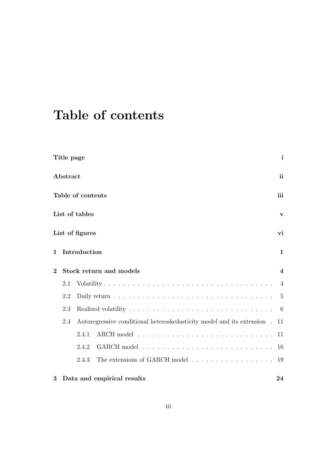## Table of contents

|              | Title page |                   |                                                                            | $\mathbf{i}$   |
|--------------|------------|-------------------|----------------------------------------------------------------------------|----------------|
|              | Abstract   |                   |                                                                            | <i>ii</i>      |
|              |            | Table of contents |                                                                            | iii            |
|              |            | List of tables    |                                                                            | $\mathbf{v}$   |
|              |            | List of figures   |                                                                            | vi             |
| $\mathbf{1}$ |            | Introduction      |                                                                            | $\mathbf{1}$   |
| $\mathbf{2}$ |            |                   | Stock return and models                                                    | $\overline{4}$ |
|              | 2.1        |                   |                                                                            | $\overline{4}$ |
|              | 2.2        |                   |                                                                            | $\overline{5}$ |
|              | 2.3        |                   |                                                                            | 6              |
|              | 2.4        |                   | Autoregressive conditional heteroskedasticity model and its extension . 11 |                |
|              |            | 2.4.1             |                                                                            | 11             |
|              |            | 2.4.2             |                                                                            | 16             |
|              |            | 2.4.3             | The extensions of GARCH model                                              | 19             |
| 3            |            |                   | Data and empirical results                                                 | 24             |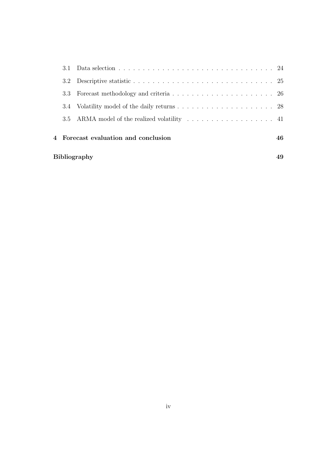| <b>Bibliography</b><br>49                  |                                              |  |  |  |  |  |  |
|--------------------------------------------|----------------------------------------------|--|--|--|--|--|--|
| 4 Forecast evaluation and conclusion<br>46 |                                              |  |  |  |  |  |  |
|                                            | 3.5 ARMA model of the realized volatility 41 |  |  |  |  |  |  |
|                                            |                                              |  |  |  |  |  |  |
|                                            |                                              |  |  |  |  |  |  |
|                                            |                                              |  |  |  |  |  |  |
|                                            |                                              |  |  |  |  |  |  |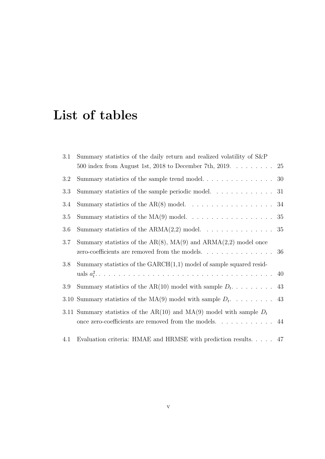## List of tables

| 3.1 | Summary statistics of the daily return and realized volatility of S&P                 |           |
|-----|---------------------------------------------------------------------------------------|-----------|
|     | 500 index from August 1st, 2018 to December 7th, 2019. $\dots \dots$                  | <b>25</b> |
| 3.2 |                                                                                       |           |
| 3.3 | Summary statistics of the sample periodic model. $\ldots \ldots \ldots \ldots$ 31     |           |
| 3.4 | Summary statistics of the AR(8) model. $\dots \dots \dots \dots \dots \dots \dots$ 34 |           |
| 3.5 |                                                                                       |           |
| 3.6 | Summary statistics of the $ARMA(2,2)$ model. 35                                       |           |
| 3.7 | Summary statistics of the $AR(8)$ , $MA(9)$ and $ARMA(2,2)$ model once                |           |
|     | zero-coefficients are removed from the models. 36                                     |           |
| 3.8 | Summary statistics of the $GARCH(1,1)$ model of sample squared resid-                 |           |
|     |                                                                                       |           |
| 3.9 |                                                                                       |           |
|     |                                                                                       |           |
|     | 3.11 Summary statistics of the AR(10) and MA(9) model with sample $D_t$               |           |
|     | once zero-coefficients are removed from the models. $\dots \dots \dots$               |           |
| 4.1 | Evaluation criteria: HMAE and HRMSE with prediction results. 47                       |           |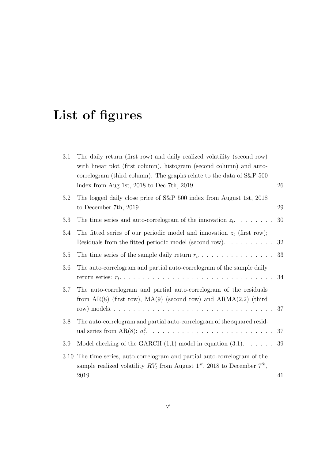# List of figures

| 3.1  | The daily return (first row) and daily realized volatility (second row)<br>with linear plot (first column), histogram (second column) and auto-<br>correlogram (third column). The graphs relate to the data of S&P 500 | 26 |
|------|-------------------------------------------------------------------------------------------------------------------------------------------------------------------------------------------------------------------------|----|
| 3.2  | The logged daily close price of S&P 500 index from August 1st, 2018<br>to December 7th, $2019. \ldots \ldots \ldots \ldots \ldots \ldots \ldots \ldots \ldots$                                                          | 29 |
| 3.3  | The time series and auto-correlogram of the innovation $z_t$                                                                                                                                                            | 30 |
| 3.4  | The fitted series of our periodic model and innovation $z_t$ (first row);<br>Residuals from the fitted periodic model (second row). $\dots \dots \dots$                                                                 | 32 |
| 3.5  |                                                                                                                                                                                                                         | 33 |
| 3.6  | The auto-correlogram and partial auto-correlogram of the sample daily                                                                                                                                                   | 34 |
| 3.7  | The auto-correlogram and partial auto-correlogram of the residuals<br>from $AR(8)$ (first row), $MA(9)$ (second row) and $ARMA(2,2)$ (third                                                                             | 37 |
| 3.8  | The auto-correlogram and partial auto-correlogram of the squared resid-                                                                                                                                                 | 37 |
| 3.9  | Model checking of the GARCH $(1,1)$ model in equation $(3.1)$ .                                                                                                                                                         | 39 |
| 3.10 | The time series, auto-correlogram and partial auto-correlogram of the<br>sample realized volatility $RV_t$ from August $1^{st}$ , 2018 to December $7^{th}$ ,                                                           | 41 |
|      |                                                                                                                                                                                                                         |    |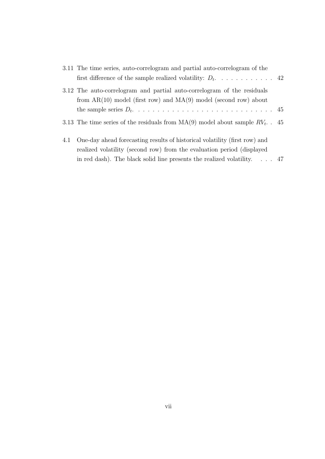| 3.11 The time series, auto-correlogram and partial auto-correlogram of the        |  |
|-----------------------------------------------------------------------------------|--|
|                                                                                   |  |
| 3.12 The auto-correlogram and partial auto-correlogram of the residuals           |  |
| from $AR(10)$ model (first row) and $MA(9)$ model (second row) about              |  |
|                                                                                   |  |
| 3.13 The time series of the residuals from $MA(9)$ model about sample $RV_t$ . 45 |  |
| 4.1 One-day ahead forecasting results of historical volatility (first row) and    |  |
| realized volatility (second row) from the evaluation period (displayed            |  |

in red dash). The black solid line presents the realized volatility.  $\therefore$  . . 47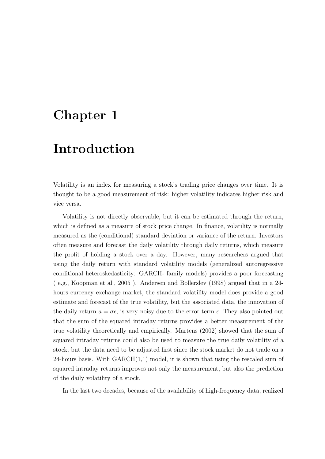## Chapter 1

## Introduction

Volatility is an index for measuring a stock's trading price changes over time. It is thought to be a good measurement of risk: higher volatility indicates higher risk and vice versa.

Volatility is not directly observable, but it can be estimated through the return, which is defined as a measure of stock price change. In finance, volatility is normally measured as the (conditional) standard deviation or variance of the return. Investors often measure and forecast the daily volatility through daily returns, which measure the profit of holding a stock over a day. However, many researchers argued that using the daily return with standard volatility models (generalized autoregressive conditional heteroskedasticity: GARCH- family models) provides a poor forecasting ( e.g., Koopman et al., 2005 ). Andersen and Bollerslev (1998) argued that in a 24 hours currency exchange market, the standard volatility model does provide a good estimate and forecast of the true volatility, but the associated data, the innovation of the daily return  $a = \sigma \epsilon$ , is very noisy due to the error term  $\epsilon$ . They also pointed out that the sum of the squared intraday returns provides a better measurement of the true volatility theoretically and empirically. Martens (2002) showed that the sum of squared intraday returns could also be used to measure the true daily volatility of a stock, but the data need to be adjusted first since the stock market do not trade on a 24-hours basis. With GARCH(1,1) model, it is shown that using the rescaled sum of squared intraday returns improves not only the measurement, but also the prediction of the daily volatility of a stock.

In the last two decades, because of the availability of high-frequency data, realized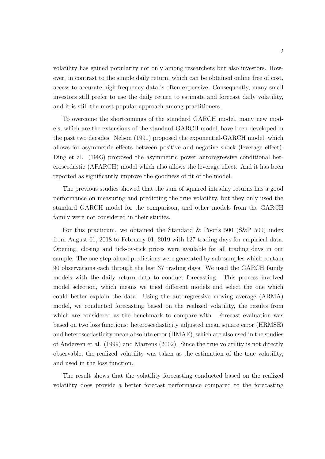volatility has gained popularity not only among researchers but also investors. However, in contrast to the simple daily return, which can be obtained online free of cost, access to accurate high-frequency data is often expensive. Consequently, many small investors still prefer to use the daily return to estimate and forecast daily volatility, and it is still the most popular approach among practitioners.

To overcome the shortcomings of the standard GARCH model, many new models, which are the extensions of the standard GARCH model, have been developed in the past two decades. Nelson (1991) proposed the exponential-GARCH model, which allows for asymmetric effects between positive and negative shock (leverage effect). Ding et al. (1993) proposed the asymmetric power autoregressive conditional heteroscedastic (APARCH) model which also allows the leverage effect. And it has been reported as significantly improve the goodness of fit of the model.

The previous studies showed that the sum of squared intraday returns has a good performance on measuring and predicting the true volatility, but they only used the standard GARCH model for the comparison, and other models from the GARCH family were not considered in their studies.

For this practicum, we obtained the Standard & Poor's 500 (S&P 500) index from August 01, 2018 to February 01, 2019 with 127 trading days for empirical data. Opening, closing and tick-by-tick prices were available for all trading days in our sample. The one-step-ahead predictions were generated by sub-samples which contain 90 observations each through the last 37 trading days. We used the GARCH family models with the daily return data to conduct forecasting. This process involved model selection, which means we tried different models and select the one which could better explain the data. Using the autoregressive moving average (ARMA) model, we conducted forecasting based on the realized volatility, the results from which are considered as the benchmark to compare with. Forecast evaluation was based on two loss functions: heteroscedasticity adjusted mean square error (HRMSE) and heteroscedasticity mean absolute error (HMAE), which are also used in the studies of Andersen et al. (1999) and Martens (2002). Since the true volatility is not directly observable, the realized volatility was taken as the estimation of the true volatility, and used in the loss function.

The result shows that the volatility forecasting conducted based on the realized volatility does provide a better forecast performance compared to the forecasting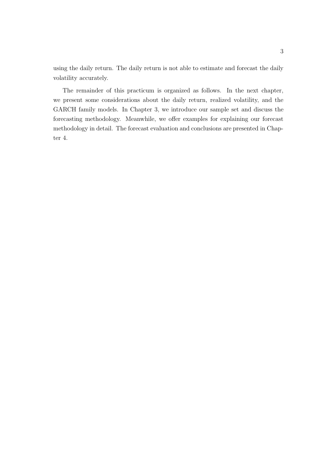using the daily return. The daily return is not able to estimate and forecast the daily volatility accurately.

The remainder of this practicum is organized as follows. In the next chapter, we present some considerations about the daily return, realized volatility, and the GARCH family models. In Chapter 3, we introduce our sample set and discuss the forecasting methodology. Meanwhile, we offer examples for explaining our forecast methodology in detail. The forecast evaluation and conclusions are presented in Chapter 4.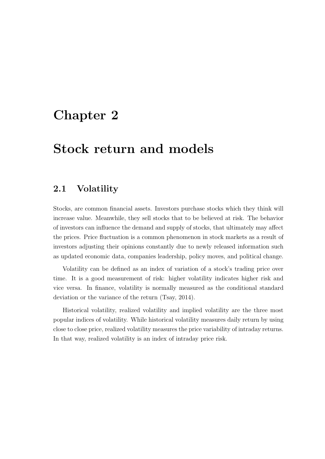## Chapter 2

## Stock return and models

### 2.1 Volatility

Stocks, are common financial assets. Investors purchase stocks which they think will increase value. Meanwhile, they sell stocks that to be believed at risk. The behavior of investors can influence the demand and supply of stocks, that ultimately may affect the prices. Price fluctuation is a common phenomenon in stock markets as a result of investors adjusting their opinions constantly due to newly released information such as updated economic data, companies leadership, policy moves, and political change.

Volatility can be defined as an index of variation of a stock's trading price over time. It is a good measurement of risk: higher volatility indicates higher risk and vice versa. In finance, volatility is normally measured as the conditional standard deviation or the variance of the return (Tsay, 2014).

Historical volatility, realized volatility and implied volatility are the three most popular indices of volatility. While historical volatility measures daily return by using close to close price, realized volatility measures the price variability of intraday returns. In that way, realized volatility is an index of intraday price risk.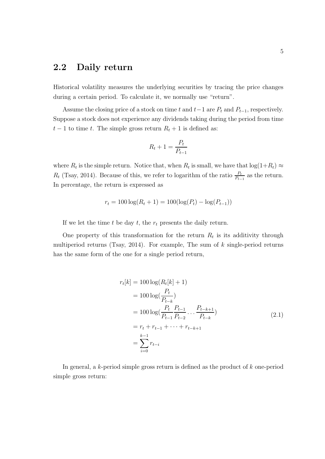### 2.2 Daily return

Historical volatility measures the underlying securities by tracing the price changes during a certain period. To calculate it, we normally use "return".

Assume the closing price of a stock on time  $t$  and  $t-1$  are  $P_t$  and  $P_{t-1}$ , respectively. Suppose a stock does not experience any dividends taking during the period from time  $t-1$  to time *t*. The simple gross return  $R_t + 1$  is defined as:

$$
R_t + 1 = \frac{P_t}{P_{t-1}}
$$

where  $R_t$  is the simple return. Notice that, when  $R_t$  is small, we have that  $\log(1+R_t) \approx$ *R*<sub>t</sub> (Tsay, 2014). Because of this, we refer to logarithm of the ratio  $\frac{P_t}{P_{t-1}}$  as the return. In percentage, the return is expressed as

$$
r_t = 100 \log(R_t + 1) = 100(\log(P_t) - \log(P_{t-1}))
$$

If we let the time  $t$  be day  $t$ , the  $r_t$  presents the daily return.

One property of this transformation for the return  $R_t$  is its additivity through multiperiod returns (Tsay, 2014). For example, The sum of *k* single-period returns has the same form of the one for a single period return,

$$
r_t[k] = 100 \log(R_t[k] + 1)
$$
  
=  $100 \log(\frac{P_t}{P_{t-k}})$   
=  $100 \log(\frac{P_t}{P_{t-1}} \frac{P_{t-1}}{P_{t-2}} \dots \frac{P_{t-k+1}}{P_{t-k}})$   
=  $r_t + r_{t-1} + \dots + r_{t-k+1}$   
=  $\sum_{i=0}^{k-1} r_{t-i}$  (2.1)

In general, a *k*-period simple gross return is defined as the product of *k* one-period simple gross return: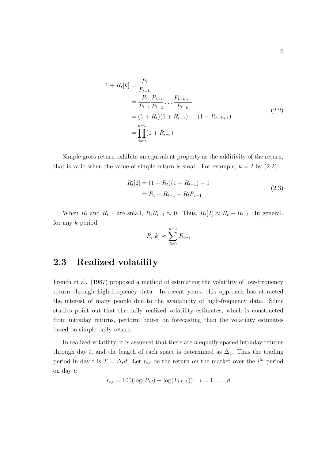$$
1 + R_t[k] = \frac{P_t}{P_{t-k}}= \frac{P_t}{P_{t-1}} \frac{P_{t-1}}{P_{t-2}} \dots \frac{P_{t-k+1}}{P_{t-k}}= (1 + R_t)(1 + R_{t-1}) \dots (1 + R_{t-k+1})= \prod_{i=0}^{k-1} (1 + R_{t-i})
$$
(2.2)

Simple gross return exhibits an equivalent property as the additivity of the return, that is valid when the value of simple return is small. For example,  $k = 2$  by  $(2.2)$ :

$$
R_t[2] = (1 + R_t)(1 + R_{t-1}) - 1
$$
  
=  $R_t + R_{t-1} + R_t R_{t-1}$  (2.3)

When  $R_t$  and  $R_{t-1}$  are small,  $R_t R_{t-1} \approx 0$ . Thus,  $R_t[2] \approx R_t + R_{t-1}$ . In general, for any *k* period:

$$
R_t[k] \approx \sum_{i=0}^{k-1} R_{t-i}
$$

### 2.3 Realized volatility

French et al. (1987) proposed a method of estimating the volatility of low-frequency return through high-frequency data. In recent years, this approach has attracted the interest of many people due to the availability of high-frequency data. Some studies point out that the daily realized volatility estimates, which is constructed from intraday returns, perform better on forecasting than the volatility estimates based on simple daily return.

In realized volatility, it is assumed that there are *n* equally spaced intraday returns through day *t*, and the length of each space is determined as  $\Delta_t$ . Thus the trading period in day t is  $T = \Delta_t d$ . Let  $r_{t,i}$  be the return on the market over the *i*<sup>th</sup> period on day *t*:

$$
r_{t,i} = 100(\log(P_{t,i}) - \log(P_{t,i-1})); \quad i = 1, ..., d
$$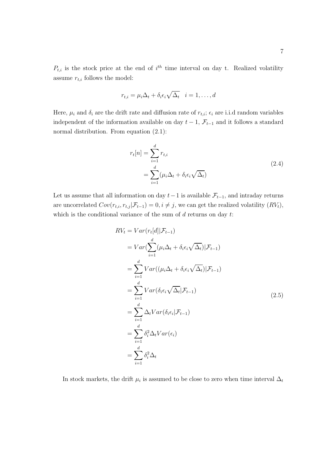$P_{t,i}$  is the stock price at the end of  $i^{th}$  time interval on day t. Realized volatility assume  $r_{t,i}$  follows the model:

$$
r_{t,i} = \mu_i \Delta_t + \delta_i \epsilon_i \sqrt{\Delta_t} \quad i = 1, \dots, d
$$

Here,  $\mu_i$  and  $\delta_i$  are the drift rate and diffusion rate of  $r_{t,i}$ ;  $\epsilon_i$  are i.i.d random variables independent of the information available on day  $t-1$ ,  $\mathcal{F}_{t-1}$  and it follows a standard normal distribution. From equation (2.1):

$$
r_t[n] = \sum_{i=1}^d r_{t,i}
$$
  
= 
$$
\sum_{i=1}^d (\mu_i \Delta_t + \delta_i \epsilon_i \sqrt{\Delta_t})
$$
 (2.4)

Let us assume that all information on day  $t-1$  is available  $\mathcal{F}_{t-1}$ , and intraday returns are uncorrelated  $Cov(r_{t,i}, r_{t,j} | \mathcal{F}_{t-1}) = 0, i \neq j$ , we can get the realized volatility  $(RV_t)$ , which is the conditional variance of the sum of *d* returns on day *t*:

$$
RV_{t} = Var(r_{t}[d] | \mathcal{F}_{t-1})
$$
  
\n
$$
= Var(\sum_{i=1}^{d} (\mu_{i}\Delta_{t} + \delta_{i}\epsilon_{i}\sqrt{\Delta_{t}}) | \mathcal{F}_{t-1})
$$
  
\n
$$
= \sum_{i=1}^{d} Var((\mu_{i}\Delta_{t} + \delta_{i}\epsilon_{i}\sqrt{\Delta_{t}}) | \mathcal{F}_{t-1})
$$
  
\n
$$
= \sum_{i=1}^{d} Var(\delta_{i}\epsilon_{i}\sqrt{\Delta_{t}} | \mathcal{F}_{t-1})
$$
  
\n
$$
= \sum_{i=1}^{d} \Delta_{t} Var(\delta_{i}\epsilon_{i} | \mathcal{F}_{t-1})
$$
  
\n
$$
= \sum_{i=1}^{d} \delta_{i}^{2} \Delta_{t} Var(\epsilon_{i})
$$
  
\n
$$
= \sum_{i=1}^{d} \delta_{i}^{2} \Delta_{t}
$$
  
\n(2.5)

In stock markets, the drift  $\mu_i$  is assumed to be close to zero when time interval  $\Delta_t$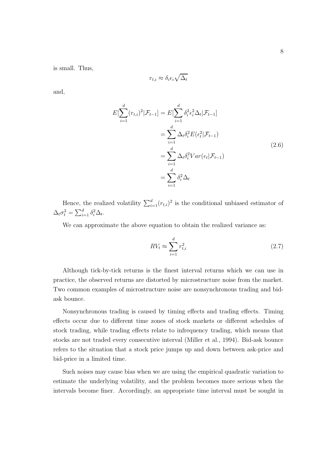is small. Thus,

$$
r_{t,i} \approx \delta_i \epsilon_i \sqrt{\Delta_t}
$$

and,

$$
E[\sum_{i=1}^{d} (r_{t,i})^2 | \mathcal{F}_{t-1}] = E[\sum_{i=1}^{d} \delta_i^2 \epsilon_i^2 \Delta_t | \mathcal{F}_{t-1}]
$$
  
\n
$$
= \sum_{i=1}^{d} \Delta_t \delta_i^2 E(\epsilon_t^2 | \mathcal{F}_{t-1})
$$
  
\n
$$
= \sum_{i=1}^{d} \Delta_t \delta_i^2 Var(\epsilon_t | \mathcal{F}_{t-1})
$$
  
\n
$$
= \sum_{i=1}^{d} \delta_i^2 \Delta_t
$$
\n(2.6)

Hence, the realized volatility  $\sum_{i=1}^{d} (r_{t,i})^2$  is the conditional unbiased estimator of  $\Delta_t \sigma_t^2 = \sum_{i=1}^d \delta_i^2 \Delta_t.$ 

We can approximate the above equation to obtain the realized variance as:

$$
RV_t \approx \sum_{i=1}^d r_{t,i}^2 \tag{2.7}
$$

Although tick-by-tick returns is the finest interval returns which we can use in practice, the observed returns are distorted by microstructure noise from the market. Two common examples of microstructure noise are nonsynchronous trading and bidask bounce.

Nonsynchronous trading is caused by timing effects and trading effects. Timing effects occur due to different time zones of stock markets or different schedules of stock trading, while trading effects relate to infrequency trading, which means that stocks are not traded every consecutive interval (Miller et al., 1994). Bid-ask bounce refers to the situation that a stock price jumps up and down between ask-price and bid-price in a limited time.

Such noises may cause bias when we are using the empirical quadratic variation to estimate the underlying volatility, and the problem becomes more serious when the intervals become finer. Accordingly, an appropriate time interval must be sought in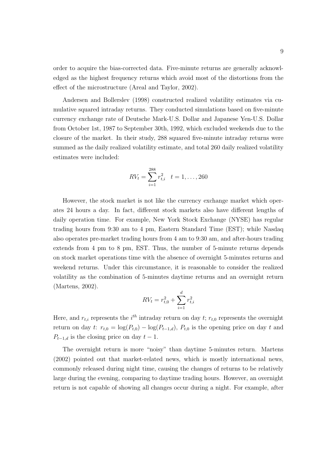order to acquire the bias-corrected data. Five-minute returns are generally acknowledged as the highest frequency returns which avoid most of the distortions from the effect of the microstructure (Areal and Taylor, 2002).

Andersen and Bollerslev (1998) constructed realized volatility estimates via cumulative squared intraday returns. They conducted simulations based on five-minute currency exchange rate of Deutsche Mark-U.S. Dollar and Japanese Yen-U.S. Dollar from October 1st, 1987 to September 30th, 1992, which excluded weekends due to the closure of the market. In their study, 288 squared five-minute intraday returns were summed as the daily realized volatility estimate, and total 260 daily realized volatility estimates were included:

$$
RV_t = \sum_{i=1}^{288} r_{t,i}^2 \quad t = 1, \dots, 260
$$

However, the stock market is not like the currency exchange market which operates 24 hours a day. In fact, different stock markets also have different lengths of daily operation time. For example, New York Stock Exchange (NYSE) has regular trading hours from 9:30 am to 4 pm, Eastern Standard Time (EST); while Nasdaq also operates pre-market trading hours from 4 am to 9:30 am, and after-hours trading extends from 4 pm to 8 pm, EST. Thus, the number of 5-minute returns depends on stock market operations time with the absence of overnight 5-minutes returns and weekend returns. Under this circumstance, it is reasonable to consider the realized volatility as the combination of 5-minutes daytime returns and an overnight return (Martens, 2002).

$$
RV_t = r_{t,0}^2 + \sum_{i=1}^d r_{t,i}^2
$$

Here, and  $r_{t,i}$  represents the  $i^{th}$  intraday return on day  $t$ ;  $r_{t,0}$  represents the overnight return on day *t*:  $r_{t,0} = \log(P_{t,0}) - \log(P_{t-1,d})$ ,  $P_{t,0}$  is the opening price on day *t* and  $P_{t-1,d}$  is the closing price on day  $t-1$ .

The overnight return is more "noisy" than daytime 5-minutes return. Martens (2002) pointed out that market-related news, which is mostly international news, commonly released during night time, causing the changes of returns to be relatively large during the evening, comparing to daytime trading hours. However, an overnight return is not capable of showing all changes occur during a night. For example, after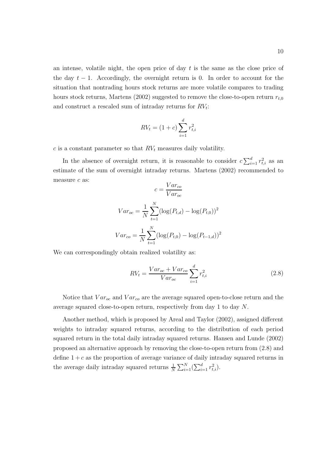an intense, volatile night, the open price of day *t* is the same as the close price of the day  $t-1$ . Accordingly, the overnight return is 0. In order to account for the situation that nontrading hours stock returns are more volatile compares to trading hours stock returns, Martens (2002) suggested to remove the close-to-open return *rt,*<sup>0</sup> and construct a rescaled sum of intraday returns for *RVt*:

$$
RV_t = (1 + c) \sum_{i=1}^{d} r_{t,i}^2
$$

*c* is a constant parameter so that *RV<sup>t</sup>* measures daily volatility.

In the absence of overnight return, it is reasonable to consider  $c \sum_{i=1}^{d} r_{t,i}^2$  as an estimate of the sum of overnight intraday returns. Martens (2002) recommended to measure *c* as:  $Var_{ac}$ 

$$
c = \frac{1}{Var_{oc}}
$$
  

$$
Var_{oc} = \frac{1}{N} \sum_{t=1}^{N} (\log(P_{t,d}) - \log(P_{t,0}))^{2}
$$
  

$$
Var_{co} = \frac{1}{N} \sum_{t=1}^{N} (\log(P_{t,0}) - \log(P_{t-1,d}))^{2}
$$

We can correspondingly obtain realized volatility as:

$$
RV_{t} = \frac{Var_{oc} + Var_{co}}{Var_{oc}} \sum_{i=1}^{d} r_{t,i}^{2}
$$
 (2.8)

Notice that *V aroc* and *V arco* are the average squared open-to-close return and the average squared close-to-open return, respectively from day 1 to day *N*.

Another method, which is proposed by Areal and Taylor (2002), assigned different weights to intraday squared returns, according to the distribution of each period squared return in the total daily intraday squared returns. Hansen and Lunde (2002) proposed an alternative approach by removing the close-to-open return from (2.8) and define  $1 + c$  as the proportion of average variance of daily intraday squared returns in the average daily intraday squared returns  $\frac{1}{N} \sum_{i=1}^{N} (\sum_{i=1}^{d} r_{t,i}^2)$ .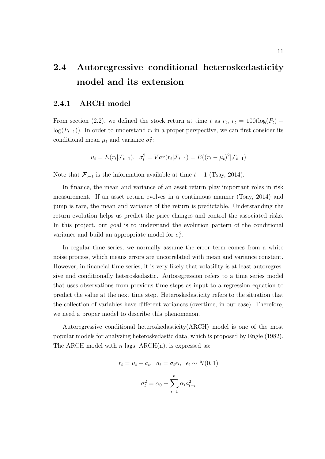### 2.4 Autoregressive conditional heteroskedasticity model and its extension

#### 2.4.1 ARCH model

From section (2.2), we defined the stock return at time *t* as  $r_t$ ,  $r_t = 100(\log(P_t)$  $log(P_{t-1})$ ). In order to understand  $r_t$  in a proper perspective, we can first consider its conditional mean  $\mu_t$  and variance  $\sigma_t^2$ :

$$
\mu_t = E(r_t|\mathcal{F}_{t-1}), \quad \sigma_t^2 = Var(r_t|\mathcal{F}_{t-1}) = E((r_t - \mu_t)^2|\mathcal{F}_{t-1})
$$

Note that  $\mathcal{F}_{t-1}$  is the information available at time  $t-1$  (Tsay, 2014).

In finance, the mean and variance of an asset return play important roles in risk measurement. If an asset return evolves in a continuous manner (Tsay, 2014) and jump is rare, the mean and variance of the return is predictable. Understanding the return evolution helps us predict the price changes and control the associated risks. In this project, our goal is to understand the evolution pattern of the conditional variance and build an appropriate model for  $\sigma_t^2$ .

In regular time series, we normally assume the error term comes from a white noise process, which means errors are uncorrelated with mean and variance constant. However, in financial time series, it is very likely that volatility is at least autoregressive and conditionally heteroskedastic. Autoregression refers to a time series model that uses observations from previous time steps as input to a regression equation to predict the value at the next time step. Heteroskedasticity refers to the situation that the collection of variables have different variances (overtime, in our case). Therefore, we need a proper model to describe this phenomenon.

Autoregressive conditional heteroskedasticity(ARCH) model is one of the most popular models for analyzing heteroskedastic data, which is proposed by Engle (1982). The ARCH model with *n* lags,  $ARCH(n)$ , is expressed as:

$$
r_t = \mu_t + a_t, \quad a_t = \sigma_t \epsilon_t, \quad \epsilon_t \sim N(0, 1)
$$

$$
\sigma_t^2 = \alpha_0 + \sum_{i=1}^n \alpha_i a_{t-i}^2
$$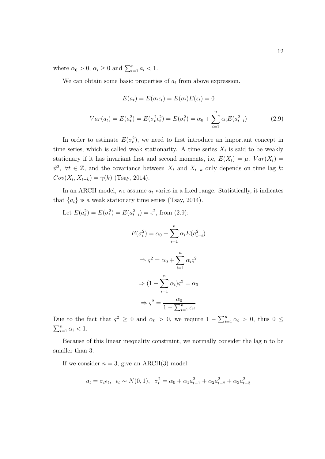where  $\alpha_0 > 0$ ,  $\alpha_i \ge 0$  and  $\sum_{i=1}^n a_i < 1$ .

We can obtain some basic properties of  $a_t$  from above expression.

$$
E(a_t) = E(\sigma_t \epsilon_t) = E(\sigma_t)E(\epsilon_t) = 0
$$
  

$$
Var(a_t) = E(a_t^2) = E(\sigma_t^2 \epsilon_t^2) = E(\sigma_t^2) = \alpha_0 + \sum_{i=1}^n \alpha_i E(a_{t-i}^2)
$$
 (2.9)

In order to estimate  $E(\sigma_t^2)$ , we need to first introduce an important concept in time series, which is called weak stationarity. A time series  $X_t$  is said to be weakly stationary if it has invariant first and second moments, i.e,  $E(X_t) = \mu$ ,  $Var(X_t) =$  $\vartheta^2$ ,  $\forall t \in \mathbb{Z}$ , and the covariance between  $X_t$  and  $X_{t-k}$  only depends on time lag *k*:  $Cov(X_t, X_{t-k}) = \gamma(k)$  (Tsay, 2014).

In an ARCH model, we assume  $a_t$  varies in a fixed range. Statistically, it indicates that  ${a_t}$  is a weak stationary time series (Tsay, 2014).

Let 
$$
E(a_t^2) = E(\sigma_t^2) = E(a_{t-i}^2) = \varsigma^2
$$
, from (2.9):  
\n
$$
E(\sigma_t^2) = \alpha_0 + \sum_{i=1}^n \alpha_i E(a_{t-i}^2)
$$
\n
$$
\Rightarrow \varsigma^2 = \alpha_0 + \sum_{i=1}^n \alpha_i \varsigma^2
$$
\n
$$
\Rightarrow (1 - \sum_{i=1}^n \alpha_i) \varsigma^2 = \alpha_0
$$
\n
$$
\Rightarrow \varsigma^2 = \frac{\alpha_0}{1 - \sum_{i=1}^n \alpha_i}
$$

Due to the fact that  $\varsigma^2 \geq 0$  and  $\alpha_0 > 0$ , we require  $1 - \sum_{i=1}^n \alpha_i > 0$ , thus  $0 \leq$  $\sum_{i=1}^{n} \alpha_i < 1.$ 

Because of this linear inequality constraint, we normally consider the lag n to be smaller than 3.

If we consider  $n = 3$ , give an ARCH(3) model:

$$
a_t = \sigma_t \epsilon_t, \ \epsilon_t \sim N(0, 1), \ \sigma_t^2 = \alpha_0 + \alpha_1 a_{t-1}^2 + \alpha_2 a_{t-2}^2 + \alpha_3 a_{t-3}^2
$$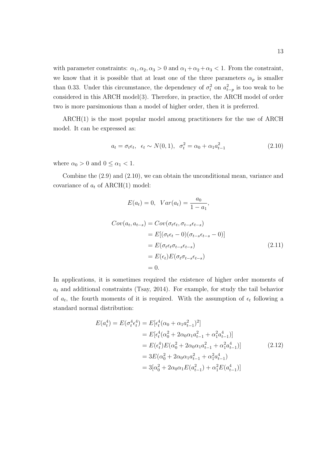with parameter constraints:  $\alpha_1, \alpha_2, \alpha_3 > 0$  and  $\alpha_1 + \alpha_2 + \alpha_3 < 1$ . From the constraint, we know that it is possible that at least one of the three parameters  $\alpha_p$  is smaller than 0.33. Under this circumstance, the dependency of  $\sigma_t^2$  on  $a_{t-p}^2$  is too weak to be considered in this ARCH model(3). Therefore, in practice, the ARCH model of order two is more parsimonious than a model of higher order, then it is preferred.

ARCH(1) is the most popular model among practitioners for the use of ARCH model. It can be expressed as:

$$
a_t = \sigma_t \epsilon_t, \quad \epsilon_t \sim N(0, 1), \quad \sigma_t^2 = \alpha_0 + \alpha_1 a_{t-1}^2 \tag{2.10}
$$

where  $\alpha_0 > 0$  and  $0 \leq \alpha_1 < 1$ .

Combine the (2.9) and (2.10), we can obtain the unconditional mean, variance and covariance of  $a_t$  of ARCH(1) model:

$$
E(a_t) = 0, \ Var(a_t) = \frac{a_0}{1 - a_1},
$$
  
\n
$$
Cov(a_t, a_{t-s}) = Cov(\sigma_t \epsilon_t, \sigma_{t-s} \epsilon_{t-s})
$$
  
\n
$$
= E[(\sigma_t \epsilon_t - 0)(\sigma_{t-s} \epsilon_{t-s} - 0)]
$$
  
\n
$$
= E(\sigma_t \epsilon_t \sigma_{t-s} \epsilon_{t-s})
$$
  
\n
$$
= E(\epsilon_t) E(\sigma_t \sigma_{t-s} \epsilon_{t-s})
$$
  
\n
$$
= 0.
$$
\n(2.11)

In applications, it is sometimes required the existence of higher order moments of  $a_t$  and additional constraints (Tsay, 2014). For example, for study the tail behavior of  $a_t$ , the fourth moments of it is required. With the assumption of  $\epsilon_t$  following a standard normal distribution:

$$
E(a_t^4) = E(\sigma_t^4 \epsilon_t^4) = E[\epsilon_t^4 (\alpha_0 + \alpha_1 a_{t-1}^2)^2]
$$
  
\n
$$
= E[\epsilon_t^4 (\alpha_0^2 + 2\alpha_0 \alpha_1 a_{t-1}^2 + \alpha_1^2 a_{t-1}^4)]
$$
  
\n
$$
= E(\epsilon_t^4) E(\alpha_0^2 + 2\alpha_0 \alpha_1 a_{t-1}^2 + \alpha_1^2 a_{t-1}^4)]
$$
  
\n
$$
= 3E(\alpha_0^2 + 2\alpha_0 \alpha_1 a_{t-1}^2 + \alpha_1^2 a_{t-1}^4)
$$
  
\n
$$
= 3[\alpha_0^2 + 2\alpha_0 \alpha_1 E(a_{t-1}^2) + \alpha_1^2 E(a_{t-1}^4)]
$$
\n(2.12)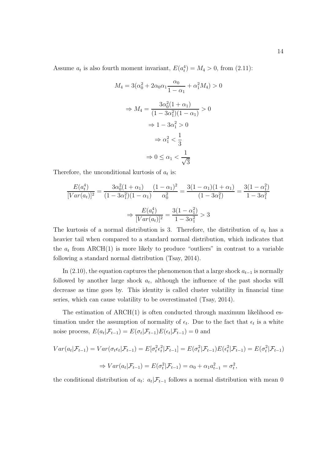Assume  $a_t$  is also fourth moment invariant,  $E(a_t^4) = M_4 > 0$ , from (2.11):

$$
M_4 = 3(\alpha_0^2 + 2\alpha_0\alpha_1\frac{\alpha_0}{1 - \alpha_1} + \alpha_1^2 M_4) > 0
$$
  

$$
\Rightarrow M_4 = \frac{3\alpha_0^2(1 + \alpha_1)}{(1 - 3\alpha_1^2)(1 - \alpha_1)} > 0
$$
  

$$
\Rightarrow 1 - 3\alpha_1^2 > 0
$$
  

$$
\Rightarrow \alpha_1^2 < \frac{1}{3}
$$
  

$$
\Rightarrow 0 \le \alpha_1 < \frac{1}{\sqrt{3}}
$$

Therefore, the unconditional kurtosis of *a<sup>t</sup>* is:

$$
\frac{E(a_t^4)}{[Var(a_t)]^2} = \frac{3\alpha_0^2(1+\alpha_1)}{(1-3\alpha_1^2)(1-\alpha_1)} \frac{(1-\alpha_1)^2}{\alpha_0^2} = \frac{3(1-\alpha_1)(1+\alpha_1)}{(1-3\alpha_1^2)} = \frac{3(1-\alpha_1^2)}{1-3\alpha_1^2}
$$

$$
\Rightarrow \frac{E(a_t^4)}{[Var(a_t)]^2} = \frac{3(1-\alpha_1^2)}{1-3\alpha_1^2} > 3
$$

The kurtosis of a normal distribution is 3. Therefore, the distribution of  $a_t$  has a heavier tail when compared to a standard normal distribution, which indicates that the  $a_t$  from ARCH(1) is more likely to produce "outliers" in contrast to a variable following a standard normal distribution (Tsay, 2014).

In  $(2.10)$ , the equation captures the phenomenon that a large shock  $a_{t-1}$  is normally followed by another large shock  $a_t$ , although the influence of the past shocks will decrease as time goes by. This identity is called cluster volatility in financial time series, which can cause volatility to be overestimated (Tsay, 2014).

The estimation of  $\text{ARCH}(1)$  is often conducted through maximum likelihood estimation under the assumption of normality of  $\epsilon_t$ . Due to the fact that  $\epsilon_t$  is a white noise process,  $E(a_t|\mathcal{F}_{t-1}) = E(\sigma_t|\mathcal{F}_{t-1})E(\epsilon_t|\mathcal{F}_{t-1}) = 0$  and

$$
Var(a_t|\mathcal{F}_{t-1}) = Var(\sigma_t \epsilon_t|\mathcal{F}_{t-1}) = E[\sigma_t^2 \epsilon_t^2|\mathcal{F}_{t-1}] = E(\sigma_t^2|\mathcal{F}_{t-1})E(\epsilon_t^2|\mathcal{F}_{t-1}) = E(\sigma_t^2|\mathcal{F}_{t-1})
$$
  
\n
$$
\Rightarrow Var(a_t|\mathcal{F}_{t-1}) = E(\sigma_t^2|\mathcal{F}_{t-1}) = \alpha_0 + \alpha_1 a_{t-1}^2 = \sigma_t^2,
$$

the conditional distribution of  $a_t$ :  $a_t | \mathcal{F}_{t-1}$  follows a normal distribution with mean 0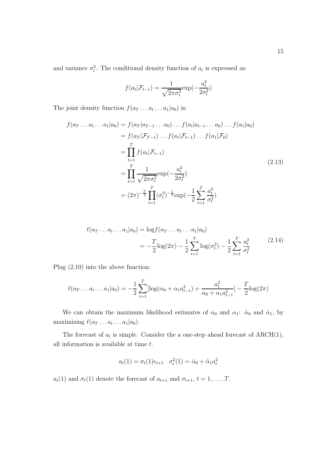and variance  $\sigma_t^2$ . The conditional density function of  $a_t$  is expressed as:

$$
f(a_t|\mathcal{F}_{t-1}) = \frac{1}{\sqrt{2\pi\sigma_t^2}} \exp(-\frac{a_t^2}{2\sigma_t^2})
$$

The joint density function  $f(a_T \dots a_t \dots a_1 | a_0)$  is:

$$
f(a_T \dots a_t \dots a_1 | a_0) = f(a_T | a_{T-1} \dots a_0) \dots f(a_t | a_{t-1} \dots a_0) \dots f(a_1 | a_0)
$$
  
=  $f(a_T | \mathcal{F}_{T-1}) \dots f(a_t | \mathcal{F}_{t-1}) \dots f(a_1 | \mathcal{F}_0)$   
=  $\prod_{t=1}^T f(a_t | \mathcal{F}_{t-1})$   
=  $\prod_{t=1}^T \frac{1}{\sqrt{2\pi \sigma_t^2}} \exp(-\frac{a_t^2}{2\sigma_t^2})$   
=  $(2\pi)^{-\frac{T}{2}} \prod_{t=1}^T (\sigma_t^2)^{-\frac{1}{2}} \exp(-\frac{1}{2} \sum_{t=1}^T \frac{a_t^2}{\sigma_t^2})$  (2.13)

$$
\ell(a_T \dots a_t \dots a_1 | a_0) = \log f(a_T \dots a_t \dots a_1 | a_0)
$$
  
= 
$$
-\frac{T}{2} \log(2\pi) - \frac{1}{2} \sum_{t=1}^T \log(\sigma_t^2) - \frac{1}{2} \sum_{t=1}^T \frac{a_t^2}{\sigma_t^2}
$$
(2.14)

Plug (2.10) into the above function:

$$
\ell(a_T \dots a_t \dots a_1 | a_0) = -\frac{1}{2} \sum_{t=1}^T \left[ \log(\alpha_0 + \alpha_1 a_{t-1}^2) + \frac{a_t^2}{\alpha_0 + \alpha_1 a_{t-1}^2} \right] - \frac{T}{2} \log(2\pi)
$$

We can obtain the maximum likelihood estimates of  $\alpha_0$  and  $\alpha_1$ :  $\hat{\alpha}_0$  and  $\hat{\alpha}_1$ , by maximizing  $\ell(a_T \ldots a_t \ldots a_1|a_0)$ .

The forecast of  $a_t$  is simple. Consider the a one-step ahead forecast of  $ARCH(1)$ , all information is available at time *t*.

$$
a_t(1) = \sigma_t(1)\epsilon_{t+1} \quad \sigma_t^2(1) = \hat{\alpha}_0 + \hat{\alpha}_1 a_t^2
$$

*a*<sub>*t*</sub>(1) and  $\sigma_t$ (1) denote the forecast of  $a_{t+1}$  and  $\sigma_{t+1}$ ,  $t = 1, \ldots, T$ .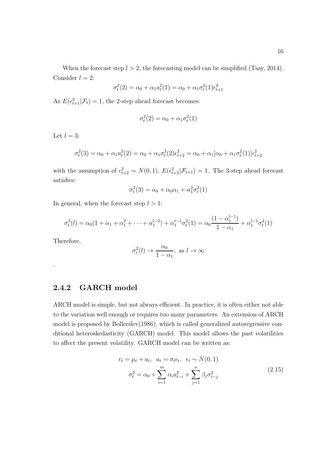When the forecast step  $l > 2$ , the forecasting model can be simplified (Tsay, 2014). Consider  $l = 2$ :

$$
\sigma_t^2(2) = \alpha_0 + \alpha_1 a_t^2(1) = \alpha_0 + \alpha_1 \sigma_t^2(1) \epsilon_{t+1}^2
$$

As  $E(\epsilon_{t+1}^2|\mathcal{F}_t) = 1$ , the 2-step ahead forecast becomes:

$$
\sigma_t^2(2) = \alpha_0 + \alpha_1 \sigma_t^2(1)
$$

Let  $l = 3$ :

$$
\sigma_t^2(3) = \alpha_0 + \alpha_1 a_t^2(2) = \alpha_0 + \alpha_1 \sigma_t^2(2)\epsilon_{t+2}^2 = \alpha_0 + \alpha_1[\alpha_0 + \alpha_1 \sigma_t^2(1)]\epsilon_{t+2}^2
$$

with the assumption of  $\epsilon_{t+2}^2 \sim N(0, 1)$ ,  $E(\epsilon_{t+2}^2 | \mathcal{F}_{t+1}) = 1$ . The 3-step ahead forecast satisfies:

$$
\sigma_t^2(3) = \alpha_0 + \alpha_0 \alpha_1 + \alpha_1^2 \sigma_t^2(1)
$$

In general, when the forecast step *l >* 1:

$$
\sigma_t^2(l) = \alpha_0(1 + \alpha_1 + \alpha_1^2 + \dots + \alpha_1^{l-2}) + \alpha_1^{t-1}\sigma_t^2(1) = \alpha_0 \frac{(1 - \alpha_1^{l-1})}{1 - \alpha_1} + \alpha_1^{l-1}\sigma_t^2(1)
$$

Therefore,

$$
\sigma_t^2(l) \to \frac{\alpha_0}{1 - \alpha_1}
$$
, as  $l \to \infty$ 

.

#### 2.4.2 GARCH model

ARCH model is simple, but not always efficient. In practice, it is often either not able to the variation well enough or requires too many parameters. An extension of ARCH model is proposed by Bollerslev(1986), which is called generalized autoregressive conditional heteroskedasticity (GARCH) model. This model allows the past volatilities to affect the present volatility. GARCH model can be written as:

$$
r_t = \mu_t + a_t, \quad a_t = \sigma_t \epsilon_t, \quad \epsilon_t \sim N(0, 1)
$$

$$
\sigma_t^2 = \alpha_0 + \sum_{i=1}^m \alpha_i a_{t-i}^2 + \sum_{j=1}^s \beta_j \sigma_{t-j}^2
$$
(2.15)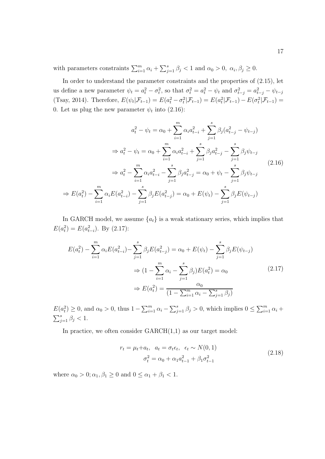with parameters constraints  $\sum_{i=1}^{m} \alpha_i + \sum_{j=1}^{s} \beta_j < 1$  and  $\alpha_0 > 0$ ,  $\alpha_i, \beta_j \ge 0$ .

In order to understand the parameter constraints and the properties of (2.15), let us define a new parameter  $\psi_t = a_t^2 - \sigma_t^2$ , so that  $\sigma_t^2 = a_t^2 - \psi_t$  and  $\sigma_{t-j}^2 = a_{t-j}^2 - \psi_{t-j}$  $T(\text{Tag}, 2014)$ . Therefore,  $E(\psi_t | \mathcal{F}_{t-1}) = E(a_t^2 - \sigma_t^2 | \mathcal{F}_{t-1}) = E(a_t^2 | \mathcal{F}_{t-1}) - E(\sigma_t^2 | \mathcal{F}_{t-1}) = E(a_t^2 | \mathcal{F}_{t-1})$ 0. Let us plug the new parameter  $\psi_t$  into (2.16):

$$
a_t^2 - \psi_t = \alpha_0 + \sum_{i=1}^m \alpha_i a_{t-i}^2 + \sum_{j=1}^s \beta_j (a_{t-j}^2 - \psi_{t-j})
$$
  
\n
$$
\Rightarrow a_t^2 - \psi_t = \alpha_0 + \sum_{i=1}^m \alpha_i a_{t-i}^2 + \sum_{j=1}^s \beta_j a_{t-j}^2 - \sum_{j=1}^s \beta_j \psi_{t-j}
$$
  
\n
$$
\Rightarrow a_t^2 - \sum_{i=1}^m \alpha_i a_{t-i}^2 - \sum_{j=1}^s \beta_j a_{t-j}^2 = \alpha_0 + \psi_t - \sum_{j=1}^s \beta_j \psi_{t-j}
$$
  
\n
$$
\Rightarrow E(a_t^2) - \sum_{i=1}^m \alpha_i E(a_{t-i}^2) - \sum_{j=1}^s \beta_j E(a_{t-j}^2) = \alpha_0 + E(\psi_t) - \sum_{j=1}^s \beta_j E(\psi_{t-j})
$$
  
\n(2.16)

In GARCH model, we assume  ${a_t}$  is a weak stationary series, which implies that  $E(a_t^2) = E(a_{t-i}^2)$ . By (2.17):

$$
E(a_t^2) - \sum_{i=1}^m \alpha_i E(a_{t-i}^2) - \sum_{j=1}^s \beta_j E(a_{t-j}^2) = \alpha_0 + E(\psi_t) - \sum_{j=1}^s \beta_j E(\psi_{t-j})
$$
  

$$
\Rightarrow (1 - \sum_{i=1}^m \alpha_i - \sum_{j=1}^s \beta_j) E(a_t^2) = \alpha_0
$$
  

$$
\Rightarrow E(a_t^2) = \frac{\alpha_0}{(1 - \sum_{i=1}^m \alpha_i - \sum_{j=1}^s \beta_j)}
$$
 (2.17)

 $E(a_t^2) \ge 0$ , and  $\alpha_0 > 0$ , thus  $1 - \sum_{i=1}^m \alpha_i - \sum_{j=1}^s \beta_j > 0$ , which implies  $0 \le \sum_{i=1}^m \alpha_i +$  $\sum_{j=1}^{s} \beta_j < 1.$ 

In practice, we often consider  $GARCH(1,1)$  as our target model:

$$
r_t = \mu_t + a_t, \ \ a_t = \sigma_t \epsilon_t, \ \ \epsilon_t \sim N(0, 1) \n\sigma_t^2 = \alpha_0 + \alpha_1 a_{t-1}^2 + \beta_1 \sigma_{t-1}^2
$$
\n(2.18)

where  $\alpha_0 > 0$ ;  $\alpha_1, \beta_1 \geq 0$  and  $0 \leq \alpha_1 + \beta_1 < 1$ .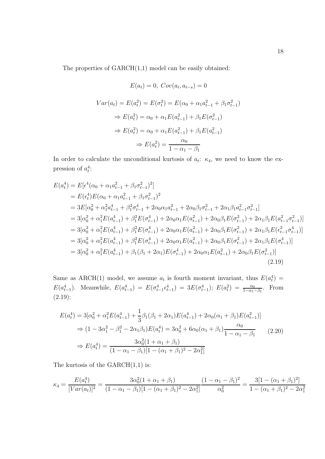The properties of GARCH(1,1) model can be easily obtained:

$$
E(a_t) = 0, Cov(a_t, a_{t-s}) = 0
$$
  

$$
Var(a_t) = E(a_t^2) = E(\sigma_t^2) = E(\alpha_0 + \alpha_1 a_{t-1}^2 + \beta_1 \sigma_{t-1}^2)
$$
  

$$
\Rightarrow E(a_t^2) = \alpha_0 + \alpha_1 E(a_{t-1}^2) + \beta_1 E(\sigma_{t-1}^2)
$$
  

$$
\Rightarrow E(a_t^2) = \alpha_0 + \alpha_1 E(a_{t-1}^2) + \beta_1 E(a_{t-1}^2)
$$
  

$$
\Rightarrow E(a_t^2) = \frac{\alpha_0}{1 - \alpha_1 - \beta_1}
$$

In order to calculate the unconditional kurtosis of  $a_t$ :  $\kappa_4$ , we need to know the expression of  $a_t^4$ :

$$
E(a_t^4) = E[\epsilon^4(\alpha_0 + \alpha_1 a_{t-1}^2 + \beta_1 \sigma_{t-1}^2)^2]
$$
  
\n
$$
= E(\epsilon_t^4)E(\alpha_0 + \alpha_1 a_{t-1}^2 + \beta_1 \sigma_{t-1}^2)^2
$$
  
\n
$$
= 3E[\alpha_0^2 + \alpha_1^2 a_{t-1}^4 + \beta_1^2 \sigma_{t-1}^4 + 2\alpha_0 \alpha_1 a_{t-1}^2 + 2\alpha_0 \beta_1 \sigma_{t-1}^2 + 2\alpha_1 \beta_1 a_{t-1}^2 \sigma_{t-1}^2]
$$
  
\n
$$
= 3[\alpha_0^2 + \alpha_1^2 E(a_{t-1}^4) + \beta_1^2 E(\sigma_{t-1}^4) + 2\alpha_0 \alpha_1 E(a_{t-1}^2) + 2\alpha_0 \beta_1 E(\sigma_{t-1}^2) + 2\alpha_1 \beta_1 E(a_{t-1}^2 \sigma_{t-1}^2)]
$$
  
\n
$$
= 3[\alpha_0^2 + \alpha_1^2 E(a_{t-1}^4) + \beta_1^2 E(\sigma_{t-1}^4) + 2\alpha_0 \alpha_1 E(a_{t-1}^2) + 2\alpha_0 \beta_1 E(\sigma_{t-1}^2) + 2\alpha_1 \beta_1 E(\epsilon_{t-1}^2 \sigma_{t-1}^4)]
$$
  
\n
$$
= 3[\alpha_0^2 + \alpha_1^2 E(a_{t-1}^4) + \beta_1^2 E(\sigma_{t-1}^4) + 2\alpha_0 \alpha_1 E(a_{t-1}^2) + 2\alpha_0 \beta_1 E(\sigma_{t-1}^2) + 2\alpha_1 \beta_1 E(\sigma_{t-1}^4)]
$$
  
\n
$$
= 3[\alpha_0^2 + \alpha_1^2 E(a_{t-1}^4) + \beta_1 (\beta_1 + 2\alpha_1) E(\sigma_{t-1}^4) + 2\alpha_0 \alpha_1 E(a_{t-1}^2) + 2\alpha_0 \beta_1 E(\sigma_{t-1}^2)]
$$
  
\n
$$
= 3[\alpha_0^2 + \alpha_1^2 E(a_{t-1}^4) + \beta_1 (\beta_1 + 2\
$$

Same as ARCH(1) model, we assume  $a_t$  is fourth moment invariant, thus  $E(a_t^4)$  = *E*( $a_{t-1}^4$ ). Meanwhile,  $E(a_{t-1}^4) = E(\sigma_{t-1}^4 \epsilon_{t-1}^4) = 3E(\sigma_{t-1}^4)$ ;  $E(a_t^2) = \frac{\alpha_0}{1 - \alpha_1 - \beta_1}$ . From (2.19):

$$
E(a_t^4) = 3[\alpha_0^2 + \alpha_1^2 E(a_{t-1}^4) + \frac{1}{3}\beta_1(\beta_1 + 2\alpha_1)E(a_{t-1}^4) + 2\alpha_0(\alpha_1 + \beta_1)E(a_{t-1}^2)]
$$
  
\n
$$
\Rightarrow (1 - 3\alpha_1^2 - \beta_1^2 - 2\alpha_1\beta_1)E(a_t^4) = 3\alpha_0^2 + 6\alpha_0(\alpha_1 + \beta_1)\frac{\alpha_0}{1 - \alpha_1 - \beta_1}
$$
  
\n
$$
\Rightarrow E(a_t^4) = \frac{3\alpha_0^2(1 + \alpha_1 + \beta_1)}{(1 - \alpha_1 - \beta_1)[1 - (\alpha_1 + \beta_1)^2 - 2\alpha_1^2]}
$$
\n(2.20)

The kurtosis of the  $GARCH(1,1)$  is:

$$
\kappa_4 = \frac{E(a_t^4)}{[Var(a_t)]^2} = \frac{3\alpha_0^2(1+\alpha_1+\beta_1)}{(1-\alpha_1-\beta_1)[1-(\alpha_1+\beta_1)^2-2\alpha_1^2]} \frac{(1-\alpha_1-\beta_1)^2}{\alpha_0^2} = \frac{3[1-(\alpha_1+\beta_1)^2]}{1-(\alpha_1+\beta_1)^2-2\alpha_1^2}
$$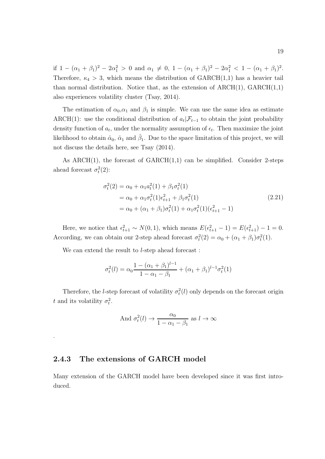if  $1 - (\alpha_1 + \beta_1)^2 - 2\alpha_1^2 > 0$  and  $\alpha_1 \neq 0$ ,  $1 - (\alpha_1 + \beta_1)^2 - 2\alpha_1^2 < 1 - (\alpha_1 + \beta_1)^2$ . Therefore,  $\kappa_4 > 3$ , which means the distribution of GARCH(1,1) has a heavier tail than normal distribution. Notice that, as the extension of  $\text{ARCH}(1)$ ,  $\text{GARCH}(1,1)$ also experiences volatility cluster (Tsay, 2014).

The estimation of  $\alpha_0, \alpha_1$  and  $\beta_1$  is simple. We can use the same idea as estimate ARCH(1): use the conditional distribution of  $a_t | \mathcal{F}_{t-1}$  to obtain the joint probability density function of  $a_t$ , under the normality assumption of  $\epsilon_t$ . Then maximize the joint likelihood to obtain  $\hat{\alpha}_0$ ,  $\hat{\alpha}_1$  and  $\hat{\beta}_1$ . Due to the space limitation of this project, we will not discuss the details here, see Tsay (2014).

As ARCH(1), the forecast of  $GARCH(1,1)$  can be simplified. Consider 2-steps ahead forecast  $\sigma_t^2(2)$ :

$$
\sigma_t^2(2) = \alpha_0 + \alpha_1 a_t^2(1) + \beta_1 \sigma_t^2(1)
$$
  
=  $\alpha_0 + \alpha_1 \sigma_t^2(1) \epsilon_{t+1}^2 + \beta_1 \sigma_t^2(1)$   
=  $\alpha_0 + (\alpha_1 + \beta_1) \sigma_t^2(1) + \alpha_1 \sigma_t^2(1) (\epsilon_{t+1}^2 - 1)$  (2.21)

Here, we notice that  $\epsilon_{t+1}^2 \sim N(0, 1)$ , which means  $E(\epsilon_{t+1}^2 - 1) = E(\epsilon_{t+1}^2) - 1 = 0$ . According, we can obtain our 2-step ahead forecast  $\sigma_t^2(2) = \alpha_0 + (\alpha_1 + \beta_1)\sigma_t^2(1)$ .

We can extend the result to *l*-step ahead forecast :

$$
\sigma_t^2(l) = \alpha_0 \frac{1 - (\alpha_1 + \beta_1)^{l-1}}{1 - \alpha_1 - \beta_1} + (\alpha_1 + \beta_1)^{l-1} \sigma_t^2(1)
$$

Therefore, the *l*-step forecast of volatility  $\sigma_t^2(l)$  only depends on the forecast origin *t* and its volatility  $\sigma_t^2$ .

And 
$$
\sigma_t^2(l) \to \frac{\alpha_0}{1 - \alpha_1 - \beta_1}
$$
 as  $l \to \infty$ 

#### 2.4.3 The extensions of GARCH model

.

Many extension of the GARCH model have been developed since it was first introduced.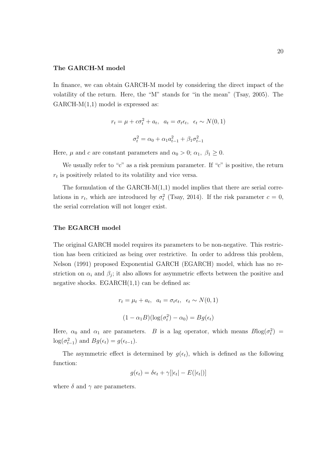#### The GARCH-M model

In finance, we can obtain GARCH-M model by considering the direct impact of the volatility of the return. Here, the "M" stands for "in the mean" (Tsay, 2005). The  $GARCH-M(1,1)$  model is expressed as:

$$
r_t = \mu + c\sigma_t^2 + a_t, \quad a_t = \sigma_t \epsilon_t, \quad \epsilon_t \sim N(0, 1)
$$

$$
\sigma_t^2 = \alpha_0 + \alpha_1 a_{t-1}^2 + \beta_1 \sigma_{t-1}^2
$$

Here,  $\mu$  and *c* are constant parameters and  $\alpha_0 > 0$ ;  $\alpha_1$ ,  $\beta_1 \ge 0$ .

We usually refer to "c" as a risk premium parameter. If "c" is positive, the return  $r_t$  is positively related to its volatility and vice versa.

The formulation of the  $GARCH-M(1,1)$  model implies that there are serial correlations in  $r_t$ , which are introduced by  $\sigma_t^2$  (Tsay, 2014). If the risk parameter  $c = 0$ , the serial correlation will not longer exist.

#### The EGARCH model

The original GARCH model requires its parameters to be non-negative. This restriction has been criticized as being over restrictive. In order to address this problem, Nelson (1991) proposed Exponential GARCH (EGARCH) model, which has no restriction on  $\alpha_i$  and  $\beta_j$ ; it also allows for asymmetric effects between the positive and negative shocks.  $EGARCH(1,1)$  can be defined as:

$$
r_t = \mu_t + a_t, \ \ a_t = \sigma_t \epsilon_t, \ \ \epsilon_t \sim N(0, 1)
$$

$$
(1 - \alpha_1 B)(\log(\sigma_t^2) - \alpha_0) = Bg(\epsilon_t)
$$

Here,  $\alpha_0$  and  $\alpha_1$  are parameters. *B* is a lag operator, which means  $B\log(\sigma_t^2)$  =  $log(\sigma_{t-1}^2)$  and  $Bg(\epsilon_t) = g(\epsilon_{t-1}).$ 

The asymmetric effect is determined by  $g(\epsilon_t)$ , which is defined as the following function:

$$
g(\epsilon_t) = \delta \epsilon_t + \gamma[|\epsilon_t| - E(|\epsilon_t|)]
$$

where  $\delta$  and  $\gamma$  are parameters.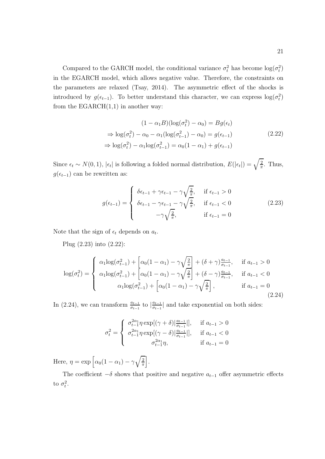Compared to the GARCH model, the conditional variance  $\sigma_t^2$  has become  $\log(\sigma_t^2)$ in the EGARCH model, which allows negative value. Therefore, the constraints on the parameters are relaxed (Tsay, 2014). The asymmetric effect of the shocks is introduced by  $g(\epsilon_{t-1})$ . To better understand this character, we can express  $\log(\sigma_t^2)$ from the  $EGARCH(1,1)$  in another way:

$$
(1 - \alpha_1 B)(\log(\sigma_t^2) - \alpha_0) = Bg(\epsilon_t)
$$
  
\n
$$
\Rightarrow \log(\sigma_t^2) - \alpha_0 - \alpha_1(\log(\sigma_{t-1}^2) - \alpha_0) = g(\epsilon_{t-1})
$$
  
\n
$$
\Rightarrow \log(\sigma_t^2) - \alpha_1 \log(\sigma_{t-1}^2) = \alpha_0(1 - \alpha_1) + g(\epsilon_{t-1})
$$
\n(2.22)

Since  $\epsilon_t \sim N(0, 1)$ ,  $|\epsilon_t|$  is following a folded normal distribution,  $E(|\epsilon_t|) = \sqrt{\frac{2}{\pi}}$ . Thus,  $g(\epsilon_{t-1})$  can be rewritten as:

$$
g(\epsilon_{t-1}) = \begin{cases} \delta \epsilon_{t-1} + \gamma \epsilon_{t-1} - \gamma \sqrt{\frac{2}{\pi}}, & \text{if } \epsilon_{t-1} > 0\\ \delta \epsilon_{t-1} - \gamma \epsilon_{t-1} - \gamma \sqrt{\frac{2}{\pi}}, & \text{if } \epsilon_{t-1} < 0\\ -\gamma \sqrt{\frac{2}{\pi}}, & \text{if } \epsilon_{t-1} = 0 \end{cases}
$$
(2.23)

Note that the sign of  $\epsilon_t$  depends on  $a_t$ .

Plug (2.23) into (2.22):

$$
\log(\sigma_t^2) = \begin{cases} \alpha_1 \log(\sigma_{t-1}^2) + \left[ \alpha_0 (1 - \alpha_1) - \gamma \sqrt{\frac{2}{\pi}} \right] + (\delta + \gamma) \frac{a_{t-1}}{\sigma_{t-1}}, & \text{if } a_{t-1} > 0 \\ \alpha_1 \log(\sigma_{t-1}^2) + \left[ \alpha_0 (1 - \alpha_1) - \gamma \sqrt{\frac{2}{\pi}} \right] + (\delta - \gamma) \frac{a_{t-1}}{\sigma_{t-1}}, & \text{if } a_{t-1} < 0 \\ \alpha_1 \log(\sigma_{t-1}^2) + \left[ \alpha_0 (1 - \alpha_1) - \gamma \sqrt{\frac{2}{\pi}} \right], & \text{if } a_{t-1} = 0 \end{cases} \tag{2.24}
$$

In (2.24), we can transform  $\frac{a_{t-1}}{\sigma_{t-1}}$  to  $|\frac{a_{t-1}}{\sigma_{t-1}}|$  and take exponential on both sides:

$$
\sigma_t^2 = \begin{cases}\n\sigma_{t-1}^{2\alpha_1} \eta \exp[(\gamma + \delta)|\frac{a_{t-1}}{\sigma_{t-1}}|], & \text{if } a_{t-1} > 0 \\
\sigma_{t-1}^{2\alpha_1} \eta \exp[(\gamma - \delta)|\frac{a_{t-1}}{\sigma_{t-1}}|], & \text{if } a_{t-1} < 0 \\
\sigma_{t-1}^{2\alpha_1} \eta, & \text{if } a_{t-1} = 0\n\end{cases}
$$

Here,  $\eta = \exp \left[ \alpha_0 (1 - \alpha_1) - \gamma \sqrt{\frac{2}{\pi}} \right]$ π + .

The coefficient  $-\delta$  shows that positive and negative  $a_{t-1}$  offer asymmetric effects to  $\sigma_t^2$ .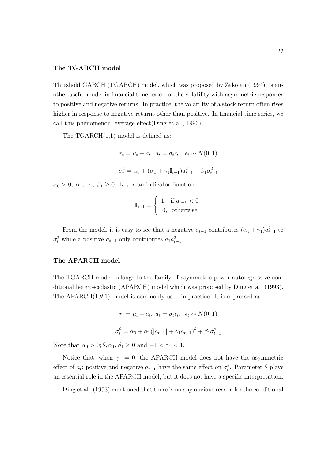#### The TGARCH model

Threshold GARCH (TGARCH) model, which was proposed by Zakoian (1994), is another useful model in financial time series for the volatility with asymmetric responses to positive and negative returns. In practice, the volatility of a stock return often rises higher in response to negative returns other than positive. In financial time series, we call this phenomenon leverage effect(Ding et al., 1993).

The  $TGARCH(1,1)$  model is defined as:

$$
r_t = \mu_t + a_t, \ a_t = \sigma_t \epsilon_t, \ \epsilon_t \sim N(0, 1)
$$

$$
\sigma_t^2 = \alpha_0 + (\alpha_1 + \gamma_1 \mathbb{I}_{t-1}) a_{t-1}^2 + \beta_1 \sigma_{t-1}^2
$$

 $\alpha_0 > 0$ ;  $\alpha_1$ ,  $\gamma_1$ ,  $\beta_1 \geq 0$ . I<sub>t-1</sub> is an indicator function:

$$
\mathbb{I}_{t-1} = \begin{cases} 1, & \text{if } a_{t-1} < 0 \\ 0, & \text{otherwise} \end{cases}
$$

From the model, it is easy to see that a negative  $a_{t-1}$  contributes  $(\alpha_1 + \gamma_1)a_{t-1}^2$  to  $\sigma_t^2$  while a positive  $a_{t-1}$  only contributes  $a_1 a_{t-1}^2$ .

#### The APARCH model

The TGARCH model belongs to the family of asymmetric power autoregressive conditional heteroscedastic (APARCH) model which was proposed by Ding et al. (1993). The APARCH $(1, \theta, 1)$  model is commonly used in practice. It is expressed as:

$$
r_t = \mu_t + a_t, \ a_t = \sigma_t \epsilon_t, \ \epsilon_t \sim N(0, 1)
$$

$$
\sigma_t^{\theta} = \alpha_0 + \alpha_1(|a_{t-1}| + \gamma_1 a_{t-1})^{\theta} + \beta_1 \sigma_{t-1}^2
$$

Note that  $\alpha_0 > 0; \theta, \alpha_1, \beta_1 \geq 0$  and  $-1 < \gamma_1 < 1$ .

Notice that, when  $\gamma_1 = 0$ , the APARCH model does not have the asymmetric effect of  $a_t$ ; positive and negative  $a_{t-1}$  have the same effect on  $\sigma_t^{\theta}$ . Parameter  $\theta$  plays an essential role in the APARCH model, but it does not have a specific interpretation.

Ding et al. (1993) mentioned that there is no any obvious reason for the conditional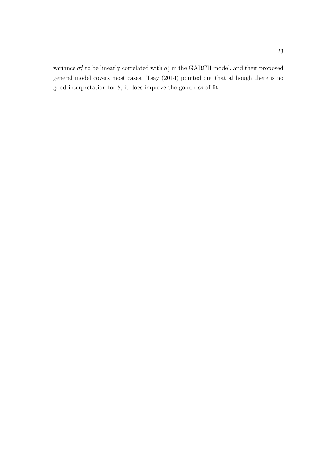variance  $\sigma_t^2$  to be linearly correlated with  $a_t^2$  in the GARCH model, and their proposed general model covers most cases. Tsay (2014) pointed out that although there is no good interpretation for  $\theta$ , it does improve the goodness of fit.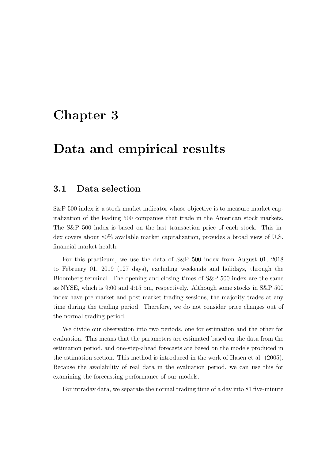## Chapter 3

## Data and empirical results

### 3.1 Data selection

S&P 500 index is a stock market indicator whose objective is to measure market capitalization of the leading 500 companies that trade in the American stock markets. The S&P 500 index is based on the last transaction price of each stock. This index covers about 80% available market capitalization, provides a broad view of U.S. financial market health.

For this practicum, we use the data of S&P 500 index from August 01, 2018 to February 01, 2019 (127 days), excluding weekends and holidays, through the Bloomberg terminal. The opening and closing times of S&P 500 index are the same as NYSE, which is 9:00 and 4:15 pm, respectively. Although some stocks in S&P 500 index have pre-market and post-market trading sessions, the majority trades at any time during the trading period. Therefore, we do not consider price changes out of the normal trading period.

We divide our observation into two periods, one for estimation and the other for evaluation. This means that the parameters are estimated based on the data from the estimation period, and one-step-ahead forecasts are based on the models produced in the estimation section. This method is introduced in the work of Hasen et al. (2005). Because the availability of real data in the evaluation period, we can use this for examining the forecasting performance of our models.

For intraday data, we separate the normal trading time of a day into 81 five-minute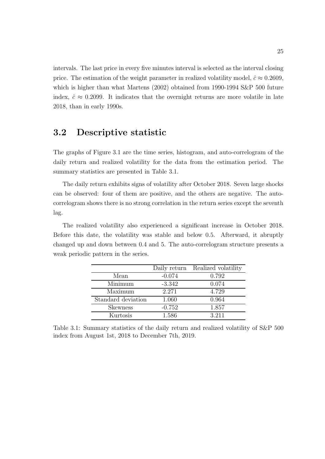intervals. The last price in every five minutes interval is selected as the interval closing price. The estimation of the weight parameter in realized volatility model,  $\hat{c} \approx 0.2609$ , which is higher than what Martens (2002) obtained from 1990-1994 S&P 500 future index,  $\hat{c} \approx 0.2099$ . It indicates that the overnight returns are more volatile in late 2018, than in early 1990s.

### 3.2 Descriptive statistic

The graphs of Figure 3.1 are the time series, histogram, and auto-correlogram of the daily return and realized volatility for the data from the estimation period. The summary statistics are presented in Table 3.1.

The daily return exhibits signs of volatility after October 2018. Seven large shocks can be observed: four of them are positive, and the others are negative. The autocorrelogram shows there is no strong correlation in the return series except the seventh lag.

The realized volatility also experienced a significant increase in October 2018. Before this date, the volatility was stable and below 0.5. Afterward, it abruptly changed up and down between 0.4 and 5. The auto-correlogram structure presents a weak periodic pattern in the series.

|                    | Daily return | Realized volatility |
|--------------------|--------------|---------------------|
| Mean               | $-0.074$     | 0.792               |
| Minimum            | $-3.342$     | 0.074               |
| Maximum            | 2.271        | 4.729               |
| Standard deviation | 1.060        | 0.964               |
| <b>Skewness</b>    | $-0.752$     | 1.857               |
| Kurtosis           | 1.586        | 3.211               |

Table 3.1: Summary statistics of the daily return and realized volatility of S&P 500 index from August 1st, 2018 to December 7th, 2019.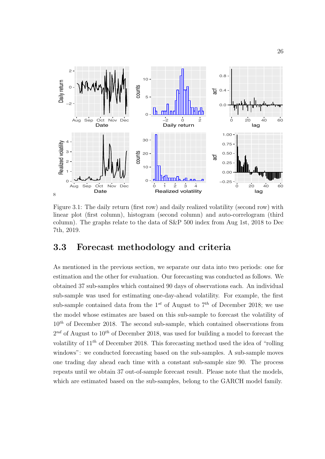

Figure 3.1: The daily return (first row) and daily realized volatility (second row) with linear plot (first column), histogram (second column) and auto-correlogram (third column). The graphs relate to the data of S&P 500 index from Aug 1st, 2018 to Dec 7th, 2019.

### 3.3 Forecast methodology and criteria

As mentioned in the previous section, we separate our data into two periods: one for estimation and the other for evaluation. Our forecasting was conducted as follows. We obtained 37 sub-samples which contained 90 days of observations each. An individual sub-sample was used for estimating one-day-ahead volatility. For example, the first sub-sample contained data from the  $1^{st}$  of August to  $7^{th}$  of December 2018; we use the model whose estimates are based on this sub-sample to forecast the volatility of 10*th* of December 2018. The second sub-sample, which contained observations from 2*nd* of August to 10*th* of December 2018, was used for building a model to forecast the volatility of 11*th* of December 2018. This forecasting method used the idea of "rolling windows": we conducted forecasting based on the sub-samples. A sub-sample moves one trading day ahead each time with a constant sub-sample size 90. The process repeats until we obtain 37 out-of-sample forecast result. Please note that the models, which are estimated based on the sub-samples, belong to the GARCH model family.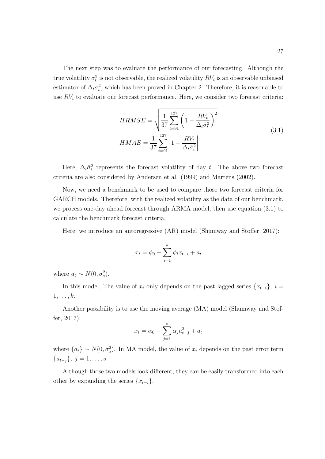The next step was to evaluate the performance of our forecasting. Although the true volatility  $\sigma_t^2$  is not observable, the realized volatility  $RV_t$  is an observable unbiased estimator of  $\Delta_t \sigma_t^2$ , which has been proved in Chapter 2. Therefore, it is reasonable to use  $RV<sub>t</sub>$  to evaluate our forecast performance. Here, we consider two forecast criteria:

$$
HRMSE = \sqrt{\frac{1}{37} \sum_{t=91}^{127} \left(1 - \frac{RV_t}{\Delta_t \hat{\sigma}_t^2}\right)^2}
$$
  
\n
$$
HMAE = \frac{1}{37} \sum_{t=91}^{127} \left|1 - \frac{RV_t}{\Delta_t \hat{\sigma}_t^2}\right|
$$
\n(3.1)

Here,  $\Delta_t \hat{\sigma}_t^2$  represents the forecast volatility of day *t*. The above two forecast criteria are also considered by Andersen et al. (1999) and Martens (2002).

Now, we need a benchmark to be used to compare those two forecast criteria for GARCH models. Therefore, with the realized volatility as the data of our benchmark, we process one-day ahead forecast through ARMA model, then use equation (3.1) to calculate the benchmark forecast criteria.

Here, we introduce an autoregressive (AR) model (Shumway and Stoffer, 2017):

$$
x_t = \phi_0 + \sum_{i=1}^k \phi_i x_{t-i} + a_t
$$

where  $a_t \sim N(0, \sigma_a^2)$ .

In this model, The value of  $x_t$  only depends on the past lagged series  $\{x_{t-i}\}\,$ ,  $i =$ 1*,...,k*.

Another possibility is to use the moving average (MA) model (Shumway and Stoffer, 2017):

$$
x_t = \alpha_0 - \sum_{j=1}^{s} \alpha_j a_{t-j}^2 + a_t
$$

where  ${a_t} \sim N(0, \sigma_a^2)$ . In MA model, the value of  $x_t$  depends on the past error term *{a<sup>t</sup>*−*<sup>j</sup>}, j* = 1*,...,s*.

Although those two models look different, they can be easily transformed into each other by expanding the series  $\{x_{t-i}\}.$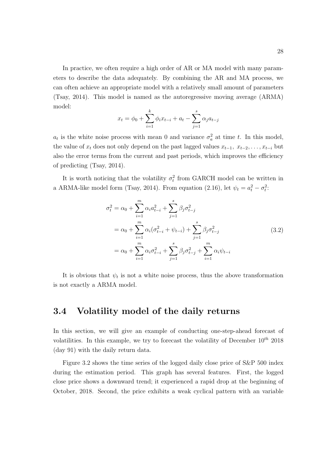In practice, we often require a high order of AR or MA model with many parameters to describe the data adequately. By combining the AR and MA process, we can often achieve an appropriate model with a relatively small amount of parameters (Tsay, 2014). This model is named as the autoregressive moving average (ARMA) model:

$$
x_{t} = \phi_0 + \sum_{i=1}^{k} \phi_i x_{t-i} + a_t - \sum_{j=1}^{s} \alpha_j a_{t-j}
$$

 $a_t$  is the white noise process with mean 0 and variance  $\sigma_a^2$  at time *t*. In this model, the value of  $x_t$  does not only depend on the past lagged values  $x_{t-1}, x_{t-2}, \ldots, x_{t-i}$  but also the error terms from the current and past periods, which improves the efficiency of predicting (Tsay, 2014).

It is worth noticing that the volatility  $\sigma_t^2$  from GARCH model can be written in a ARMA-like model form (Tsay, 2014). From equation (2.16), let  $\psi_t = a_t^2 - \sigma_t^2$ :

$$
\sigma_t^2 = \alpha_0 + \sum_{i=1}^m \alpha_i a_{t-i}^2 + \sum_{j=1}^s \beta_j \sigma_{t-j}^2
$$
  
=  $\alpha_0 + \sum_{i=1}^m \alpha_i (\sigma_{t-i}^2 + \psi_{t-i}) + \sum_{j=1}^s \beta_j \sigma_{t-j}^2$  (3.2)  
=  $\alpha_0 + \sum_{i=1}^m \alpha_i \sigma_{t-i}^2 + \sum_{j=1}^s \beta_j \sigma_{t-j}^2 + \sum_{i=1}^m \alpha_i \psi_{t-i}$ 

It is obvious that  $\psi_t$  is not a white noise process, thus the above transformation is not exactly a ARMA model.

### 3.4 Volatility model of the daily returns

In this section, we will give an example of conducting one-step-ahead forecast of volatilities. In this example, we try to forecast the volatility of December 10*th* 2018 (day 91) with the daily return data.

Figure 3.2 shows the time series of the logged daily close price of S&P 500 index during the estimation period. This graph has several features. First, the logged close price shows a downward trend; it experienced a rapid drop at the beginning of October, 2018. Second, the price exhibits a weak cyclical pattern with an variable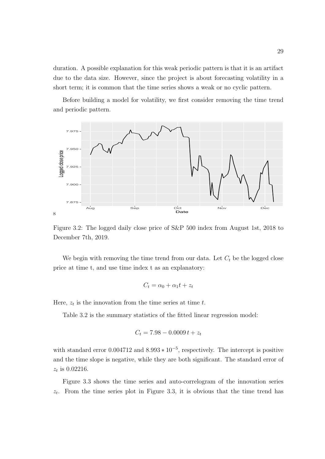duration. A possible explanation for this weak periodic pattern is that it is an artifact due to the data size. However, since the project is about forecasting volatility in a short term; it is common that the time series shows a weak or no cyclic pattern.

Before building a model for volatility, we first consider removing the time trend and periodic pattern.



Figure 3.2: The logged daily close price of S&P 500 index from August 1st, 2018 to December 7th, 2019.

We begin with removing the time trend from our data. Let  $C_t$  be the logged close price at time t, and use time index t as an explanatory:

$$
C_t = \alpha_0 + \alpha_1 t + z_t
$$

Here,  $z_t$  is the innovation from the time series at time  $t$ .

Table 3.2 is the summary statistics of the fitted linear regression model:

$$
C_t = 7.98 - 0.0009 t + z_t
$$

with standard error  $0.004712$  and  $8.993 * 10^{-5}$ , respectively. The intercept is positive and the time slope is negative, while they are both significant. The standard error of *z<sup>t</sup>* is 0.02216.

Figure 3.3 shows the time series and auto-correlogram of the innovation series *zt*. From the time series plot in Figure 3.3, it is obvious that the time trend has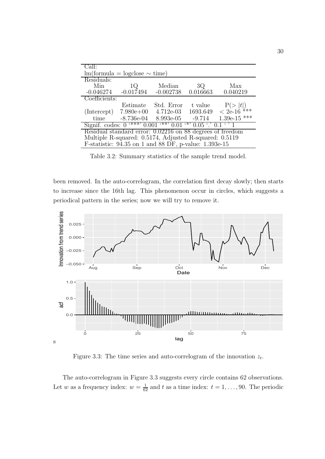| CaII:                                                                                            |                                                        |                           |          |                       |  |  |  |
|--------------------------------------------------------------------------------------------------|--------------------------------------------------------|---------------------------|----------|-----------------------|--|--|--|
|                                                                                                  | $lm(formula = logclose \sim time)$                     |                           |          |                       |  |  |  |
| Residuals:                                                                                       |                                                        |                           |          |                       |  |  |  |
| Min                                                                                              | 1Q                                                     | Median                    | 3Q       | Max                   |  |  |  |
| $-0.046274$                                                                                      | $-0.017494$                                            | $-0.002738$               | 0.016663 | 0.040219              |  |  |  |
| Coefficients:                                                                                    |                                                        |                           |          |                       |  |  |  |
|                                                                                                  | Estimate                                               | Std. Error                | t value  | $P(>  t )< 2e-16$ *** |  |  |  |
| (Intercept)                                                                                      | $7.980e+00$ $4.712e-03$                                |                           | 1693.649 |                       |  |  |  |
| time                                                                                             |                                                        | $-8.736e-04$ $-8.993e-05$ | $-9.714$ | 1.39e-15 ***          |  |  |  |
| Signif. codes: $0 \cdot$ ***' $0.001 \cdot$ **' $0.01 \cdot$ '' $0.05 \cdot$ ' $0.1 \cdot$ ' $1$ |                                                        |                           |          |                       |  |  |  |
| Residual standard error: 0.02216 on 88 degrees of freedom                                        |                                                        |                           |          |                       |  |  |  |
|                                                                                                  | Multiple R-squared: 0.5174, Adjusted R-squared: 0.5119 |                           |          |                       |  |  |  |
|                                                                                                  | F-statistic: 94.35 on 1 and 88 DF, p-value: 1.393e-15  |                           |          |                       |  |  |  |

Table 3.2: Summary statistics of the sample trend model.

been removed. In the auto-correlogram, the correlation first decay slowly; then starts to increase since the 16th lag. This phenomenon occur in circles, which suggests a periodical pattern in the series; now we will try to remove it.



Figure 3.3: The time series and auto-correlogram of the innovation *zt*.

The auto-correlogram in Figure 3.3 suggests every circle contains 62 observations. Let *w* as a frequency index:  $w = \frac{1}{62}$  and *t* as a time index:  $t = 1, \ldots, 90$ . The periodic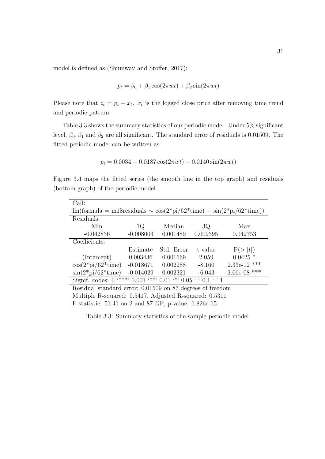model is defined as (Shumway and Stoffer, 2017):

$$
p_t = \beta_0 + \beta_1 \cos(2\pi wt) + \beta_2 \sin(2\pi wt)
$$

Please note that  $z_t = p_t + x_t$ .  $x_t$  is the logged close price after removing time trend and periodic pattern.

Table 3.3 shows the summary statistics of our periodic model. Under 5% significant level,  $\beta_0$ ,  $\beta_1$  and  $\beta_2$  are all significant. The standard error of residuals is 0.01509. The fitted periodic model can be written as:

$$
p_t = 0.0034 - 0.0187 \cos(2\pi wt) - 0.0140 \sin(2\pi wt)
$$

Figure 3.4 maps the fitted series (the smooth line in the top graph) and residuals (bottom graph) of the periodic model.

| Call:                                                                                                                                    |             |            |          |                |  |  |  |
|------------------------------------------------------------------------------------------------------------------------------------------|-------------|------------|----------|----------------|--|--|--|
| $\text{Im}(\text{formula} = \text{m1\$residuals} \sim \cos(2^* \text{pi}/62^* \text{time}) + \sin(2^* \text{pi}/62^* \text{time}))$      |             |            |          |                |  |  |  |
| Residuals:                                                                                                                               |             |            |          |                |  |  |  |
| Min                                                                                                                                      | 1Q          | Median     | 3Q       | Max            |  |  |  |
| $-0.042836$                                                                                                                              | $-0.008003$ | 0.001489   | 0.009395 | 0.042753       |  |  |  |
| Coefficients:                                                                                                                            |             |            |          |                |  |  |  |
|                                                                                                                                          | Estimate    | Std. Error | t value  | P(> t )        |  |  |  |
| (Intercept)                                                                                                                              | 0.003436    | 0.001669   | 2.059    | $0.0425$ *     |  |  |  |
| $\cos(2*\pi i/62*\text{time})$                                                                                                           | $-0.018671$ | 0.002288   | $-8.160$ | $2.33e-12$ *** |  |  |  |
| $\sin(2*\pi i/62*\text{time})$<br>$-0.014029$<br>0.002321<br>$-6.043$                                                                    |             |            |          | 3.66e-08 ***   |  |  |  |
| Signif. codes: $0^{(\ast \ast \ast)}$ 0.001 $\overline{(\ast \ast)}$ 0.01 $\overline{(\ast)}$ 0.05 $\overline{()}$ 0.1 $\overline{')}$ 1 |             |            |          |                |  |  |  |
| Residual standard error: 0.01509 on 87 degrees of freedom                                                                                |             |            |          |                |  |  |  |
| Multiple R-squared: 0.5417, Adjusted R-squared: 0.5311                                                                                   |             |            |          |                |  |  |  |
| F-statistic: $51.41$ on 2 and 87 DF, p-value: $1.826e-15$                                                                                |             |            |          |                |  |  |  |

Table 3.3: Summary statistics of the sample periodic model.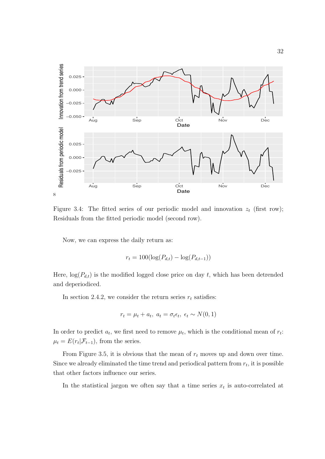

Figure 3.4: The fitted series of our periodic model and innovation  $z_t$  (first row); Residuals from the fitted periodic model (second row).

Now, we can express the daily return as:

$$
r_t = 100(\log(P_{d,t}) - \log(P_{d,t-1}))
$$

Here,  $log(P_{d,t})$  is the modified logged close price on day t, which has been detrended and deperiodiced.

In section 2.4.2, we consider the return series  $r_t$  satisfies:

$$
r_t = \mu_t + a_t, \ a_t = \sigma_t \epsilon_t, \ \epsilon_t \sim N(0, 1)
$$

In order to predict  $a_t$ , we first need to remove  $\mu_t$ , which is the conditional mean of  $r_t$ :  $\mu_t = E(r_t|\mathcal{F}_{t-1})$ , from the series.

From Figure 3.5, it is obvious that the mean of *r<sup>t</sup>* moves up and down over time. Since we already eliminated the time trend and periodical pattern from  $r_t$ , it is possible that other factors influence our series.

In the statistical jargon we often say that a time series  $x_t$  is auto-correlated at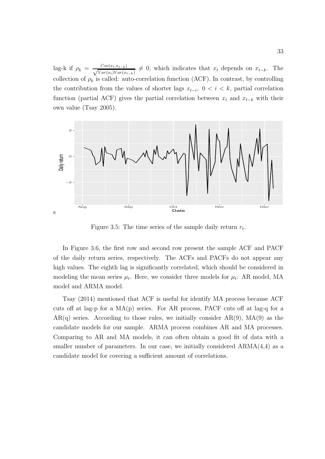lag-k if  $\rho_k = \frac{Cov(x_t, x_{t-k})}{\sqrt{Var(x_t)Var(x_{t-k})}} \neq 0$ , which indicates that  $x_t$  depends on  $x_{t-k}$ . The collection of  $\rho_k$  is called: auto-correlation function (ACF). In contrast, by controlling the contribution from the values of shorter lags  $x_{t-i}$ ,  $0 < i < k$ , partial correlation function (partial ACF) gives the partial correlation between  $x_t$  and  $x_{t-k}$  with their own value (Tsay 2005).



Figure 3.5: The time series of the sample daily return *rt*.

In Figure 3.6, the first row and second row present the sample ACF and PACF of the daily return series, respectively. The ACFs and PACFs do not appear any high values. The eighth lag is significantly correlated, which should be considered in modeling the mean series  $\mu_t$ . Here, we consider three models for  $\mu_t$ : AR model, MA model and ARMA model.

Tsay (2014) mentioned that ACF is useful for identify MA process because ACF cuts off at lag-p for a  $MA(p)$  series. For AR process, PACF cuts off at lag-q for a  $AR(q)$  series. According to those rules, we initially consider  $AR(9)$ ,  $MA(9)$  as the candidate models for our sample. ARMA process combines AR and MA processes. Comparing to AR and MA models, it can often obtain a good fit of data with a smaller number of parameters. In our case, we initially considered  $ARMA(4,4)$  as a candidate model for covering a sufficient amount of correlations.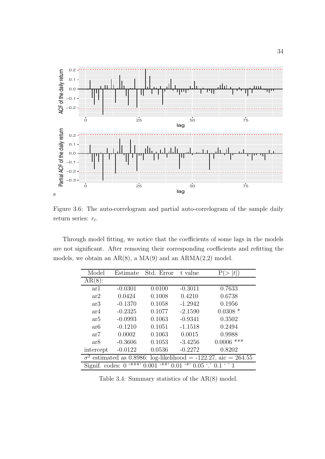

Figure 3.6: The auto-correlogram and partial auto-correlogram of the sample daily return series: *rt*.

Through model fitting, we notice that the coefficients of some lags in the models are not significant. After removing their corresponding coefficients and refitting the models, we obtain an  $AR(8)$ , a  $MA(9)$  and an  $ARMA(2,2)$  model.

| Model                                                                                                     | Estimate  | Std. Error | t value   | t <br>Ρ      |  |  |
|-----------------------------------------------------------------------------------------------------------|-----------|------------|-----------|--------------|--|--|
| $AR(8)$ :                                                                                                 |           |            |           |              |  |  |
| ar1                                                                                                       | $-0.0301$ | 0.0100     | $-0.3011$ | 0.7633       |  |  |
| ar2                                                                                                       | 0.0424    | 0.1008     | 0.4210    | 0.6738       |  |  |
| ar3                                                                                                       | $-0.1370$ | 0.1058     | $-1.2942$ | 0.1956       |  |  |
| ar4                                                                                                       | $-0.2325$ | 0.1077     | $-2.1590$ | $0.0308*$    |  |  |
| ar <sub>5</sub>                                                                                           | $-0.0993$ | 0.1063     | $-0.9341$ | 0.3502       |  |  |
| ar <sub>6</sub>                                                                                           | $-0.1210$ | 0.1051     | $-1.1518$ | 0.2494       |  |  |
| ar7                                                                                                       | 0.0002    | 0.1063     | 0.0015    | 0.9988       |  |  |
| ar <sub>8</sub>                                                                                           | $-0.3606$ | 0.1053     | $-3.4256$ | $0.0006$ *** |  |  |
| intercept                                                                                                 | $-0.0122$ | 0.0536     | $-0.2272$ | 0.8202       |  |  |
| $\sigma^2$ estimated as 0.8986: log-likelihood = -122.27, aic = 264.55                                    |           |            |           |              |  |  |
| (***)<br>(**)<br>(米)<br>0.01<br>$0.05$ $\cdot$ $\cdot$ 0.1 $\cdot$ $\cdot$ 1<br>0.001<br>Signif. codes: 0 |           |            |           |              |  |  |

Table 3.4: Summary statistics of the AR(8) model.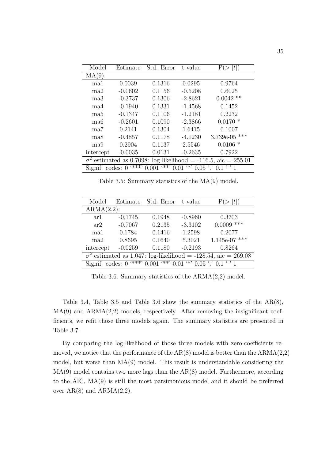| Model                                                                                                 | Estimate  | Std. Error | t value   | t               |  |
|-------------------------------------------------------------------------------------------------------|-----------|------------|-----------|-----------------|--|
| $MA(9)$ :                                                                                             |           |            |           |                 |  |
| ma1                                                                                                   | 0.0039    | 0.1316     | 0.0295    | 0.9764          |  |
| ma2                                                                                                   | $-0.0602$ | 0.1156     | $-0.5208$ | 0.6025          |  |
| $_{\rm ma3}$                                                                                          | $-0.3737$ | 0.1306     | $-2.8621$ | $0.0042$ **     |  |
| ma4                                                                                                   | $-0.1940$ | 0.1331     | $-1.4568$ | 0.1452          |  |
| ma <sub>5</sub>                                                                                       | $-0.1347$ | 0.1106     | $-1.2181$ | 0.2232          |  |
| ma <sub>6</sub>                                                                                       | $-0.2601$ | 0.1090     | $-2.3866$ | $0.0170*$       |  |
| ma7                                                                                                   | 0.2141    | 0.1304     | 1.6415    | 0.1007          |  |
| ma8                                                                                                   | $-0.4857$ | 0.1178     | $-4.1230$ | $3.739e-05$ *** |  |
| ma9                                                                                                   | 0.2904    | 0.1137     | 2.5546    | $0.0106*$       |  |
| intercept                                                                                             | $-0.0035$ | 0.0131     | $-0.2635$ | 0.7922          |  |
| $\sigma^2$ estimated as 0.7098: log-likelihood = -116.5, aic = 255.01                                 |           |            |           |                 |  |
| (***)<br>$\overline{(**)}$ 0.01<br>$4*$ , 0.05 $\cdot$ , 0.1 $\cdot$ , 1<br>Signif. codes: 0<br>0.001 |           |            |           |                 |  |

Table 3.5: Summary statistics of the MA(9) model.

| Model                                                                                                         | Estimate      | Std. Error | t value   |                 |  |  |  |  |
|---------------------------------------------------------------------------------------------------------------|---------------|------------|-----------|-----------------|--|--|--|--|
|                                                                                                               | $ARMA(2,2)$ : |            |           |                 |  |  |  |  |
| ar 1                                                                                                          | $-0.1745$     | 0.1948     | $-0.8960$ | 0.3703          |  |  |  |  |
| ar2                                                                                                           | $-0.7067$     | 0.2135     | $-3.3102$ | $0.0009$ ***    |  |  |  |  |
| ma1                                                                                                           | 0.1784        | 0.1416     | 1.2598    | 0.2077          |  |  |  |  |
| ma2                                                                                                           | 0.8695        | 0.1640     | 5.3021    | $1.145e-07$ *** |  |  |  |  |
| intercept                                                                                                     | $-0.0259$     | 0.1180     | $-0.2193$ | 0.8264          |  |  |  |  |
| $\sigma^2$ estimated as 1.047: log-likelihood = -128.54, aic = 269.08                                         |               |            |           |                 |  |  |  |  |
| $x^*$ 0.001<br>$x^{**}$ , 0.01 $x^{**}$<br>$0.05$ $\cdot$ $\cdot$ 0.1 $\cdot$ $\cdot$ 1<br>Signif. codes: $0$ |               |            |           |                 |  |  |  |  |

Table 3.6: Summary statistics of the ARMA(2,2) model.

Table 3.4, Table 3.5 and Table 3.6 show the summary statistics of the AR(8),  $MA(9)$  and  $ARMA(2,2)$  models, respectively. After removing the insignificant coefficients, we refit those three models again. The summary statistics are presented in Table 3.7.

By comparing the log-likelihood of those three models with zero-coefficients removed, we notice that the performance of the  $AR(8)$  model is better than the  $ARMA(2,2)$ model, but worse than MA(9) model. This result is understandable considering the  $MA(9)$  model contains two more lags than the  $AR(8)$  model. Furthermore, according to the AIC, MA(9) is still the most parsimonious model and it should be preferred over  $AR(8)$  and  $ARMA(2,2)$ .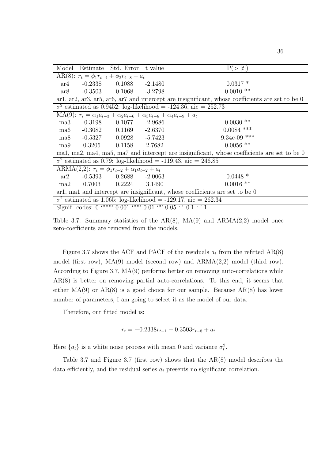|                                                                              |                                                                       | Model Estimate Std. Error t value                                                              |  | P(> t )                                                                                          |  |  |  |
|------------------------------------------------------------------------------|-----------------------------------------------------------------------|------------------------------------------------------------------------------------------------|--|--------------------------------------------------------------------------------------------------|--|--|--|
|                                                                              | AR(8): $r_t = \phi_1 r_{t-4} + \phi_2 r_{t-8} + a_t$                  |                                                                                                |  |                                                                                                  |  |  |  |
| ar4                                                                          |                                                                       | $-0.2338$ $0.1088$ $-2.1480$                                                                   |  | $0.0317*$                                                                                        |  |  |  |
| ar8                                                                          |                                                                       | $-0.3503$ $0.1068$ $-3.2798$                                                                   |  | $0.0010$ **                                                                                      |  |  |  |
|                                                                              |                                                                       |                                                                                                |  | arl, arl, ar3, ar5, ar6, ar7 and intercept are insignificant, whose coefficients are set to be 0 |  |  |  |
|                                                                              |                                                                       |                                                                                                |  | $\sigma^2$ estimated as 0.9452: log-likelihood = -124.36, aic = 252.73                           |  |  |  |
|                                                                              |                                                                       | MA(9): $r_t = \alpha_1 a_{t-3} + \alpha_2 a_{t-6} + \alpha_3 a_{t-8} + \alpha_4 a_{t-9} + a_t$ |  |                                                                                                  |  |  |  |
| ma3                                                                          | $-0.3198$                                                             | $0.1077 - 2.9686$                                                                              |  | $0.0030$ **                                                                                      |  |  |  |
|                                                                              |                                                                       | ma6 -0.3082 0.1169 -2.6370                                                                     |  | $0.0084$ ***                                                                                     |  |  |  |
|                                                                              |                                                                       | ma8 -0.5327 0.0928 -5.7423                                                                     |  | $9.34e-09$ ***                                                                                   |  |  |  |
|                                                                              |                                                                       | ma9 0.3205 0.1158 2.7682                                                                       |  | $0.0056$ **                                                                                      |  |  |  |
|                                                                              |                                                                       |                                                                                                |  | ma1, ma2, ma4, ma5, ma7 and intercept are insignificant, whose coefficients are set to be 0      |  |  |  |
|                                                                              |                                                                       |                                                                                                |  | $\sigma^2$ estimated as 0.79: log-likelihood = -119.43, aic = 246.85                             |  |  |  |
|                                                                              |                                                                       | ARMA(2,2): $r_t = \phi_1 r_{t-2} + \alpha_1 a_{t-2} + a_t$                                     |  |                                                                                                  |  |  |  |
| ar2                                                                          |                                                                       | $-0.5393$ $0.2688$ $-2.0063$                                                                   |  | $0.0448*$                                                                                        |  |  |  |
| ma2                                                                          |                                                                       | $0.7003$ $0.2224$ $3.1490$                                                                     |  | $0.0016$ **                                                                                      |  |  |  |
| arl, mal and intercept are insignificant, whose coefficients are set to be 0 |                                                                       |                                                                                                |  |                                                                                                  |  |  |  |
|                                                                              | $\sigma^2$ estimated as 1.065: log-likelihood = -129.17, aic = 262.34 |                                                                                                |  |                                                                                                  |  |  |  |
| Signif. codes: $0$ '***' $0.001$ '**' $0.01$ '*' $0.05$ '.' $0.1$ ' ' 1      |                                                                       |                                                                                                |  |                                                                                                  |  |  |  |

Table 3.7: Summary statistics of the  $AR(8)$ ,  $MA(9)$  and  $ARMA(2,2)$  model once zero-coefficients are removed from the models.

Figure 3.7 shows the ACF and PACF of the residuals  $a_t$  from the refitted AR(8) model (first row), MA(9) model (second row) and ARMA(2,2) model (third row). According to Figure 3.7, MA(9) performs better on removing auto-correlations while AR(8) is better on removing partial auto-correlations. To this end, it seems that either  $MA(9)$  or  $AR(8)$  is a good choice for our sample. Because  $AR(8)$  has lower number of parameters, I am going to select it as the model of our data.

Therefore, our fitted model is:

$$
r_t = -0.2338r_{t-1} - 0.3503r_{t-8} + a_t
$$

Here  $\{a_t\}$  is a white noise process with mean 0 and variance  $\sigma_t^2$ .

Table 3.7 and Figure 3.7 (first row) shows that the AR(8) model describes the data efficiently, and the residual series *a<sup>t</sup>* presents no significant correlation.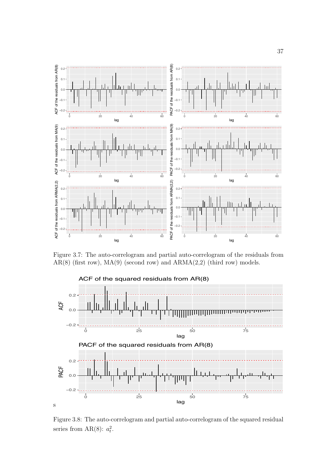

Figure 3.7: The auto-correlogram and partial auto-correlogram of the residuals from  $AR(8)$  (first row),  $MA(9)$  (second row) and  $ARMA(2,2)$  (third row) models.



Figure 3.8: The auto-correlogram and partial auto-correlogram of the squared residual series from  $AR(8)$ :  $a_t^2$ .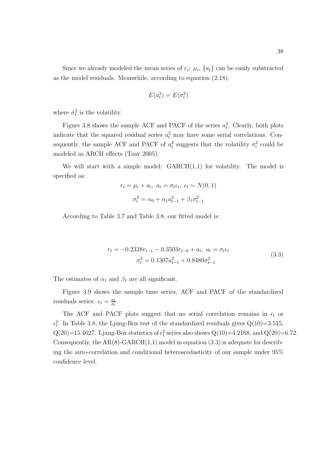$$
E(a_t^2) = E(\sigma_t^2)
$$

where  $\sigma_t^2$  is the volatility.

Figure 3.8 shows the sample ACF and PACF of the series  $a_t^2$ . Clearly, both plots indicate that the squared residual series  $a_t^2$  may have some serial correlations. Consequently, the sample ACF and PACF of  $a_t^2$  suggests that the volatility  $\sigma_t^2$  could be modeled as ARCH effects (Tsay 2005).

We will start with a simple model:  $GARCH(1,1)$  for volatility. The model is specified as:

$$
r_t = \mu_t + a_t, \ a_t = \sigma_t \epsilon_t, \ \epsilon_t \sim N(0, 1)
$$

$$
\sigma_t^2 = \alpha_0 + \alpha_1 a_{t-1}^2 + \beta_1 \sigma_{t-1}^2
$$

According to Table 3.7 and Table 3.8, our fitted model is:

$$
r_t = -0.2338r_{t-1} - 0.3503r_{t-8} + a_t, \ a_t = \sigma_t \epsilon_t
$$
  

$$
\sigma_t^2 = 0.1307a_{t-1}^2 + 0.8489\sigma_{t-1}^2
$$
 (3.3)

The estimates of  $\alpha_1$  and  $\beta_1$  are all significant.

Figure 3.9 shows the sample time series, ACF and PACF of the standardized residuals series:  $\epsilon_t = \frac{a_t}{\sigma_t}$ .

The ACF and PACF plots suggest that no serial correlation remains in  $\epsilon_t$  or  $\epsilon_t^2$ . In Table 3.8, the Ljung-Box test of the standardized residuals gives  $Q(10)=3.515$ ,  $Q(20)=15.4627$ . Ljung-Box statistics of  $\epsilon_t^2$  series also shows  $Q(10)=4.2168$ , and  $Q(20)=6.72$ . Consequently, the  $AR(8)$ -GARCH $(1,1)$  model in equation  $(3.3)$  is adequate for describing the auto-correlation and conditional heteroscedasticity of our sample under 95% confidence level.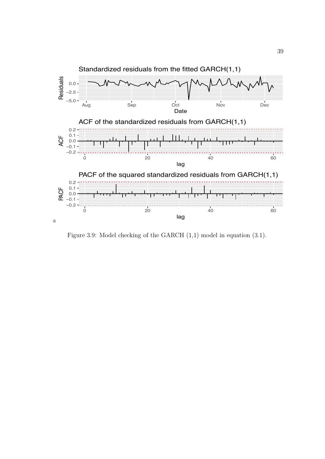

Figure 3.9: Model checking of the GARCH (1,1) model in equation (3.1).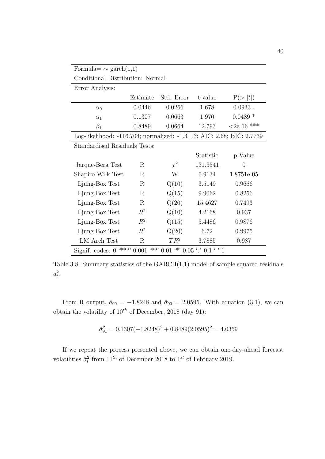| Formula $\sim$ garch $(1,1)$                                                           |                                       |            |              |            |  |  |
|----------------------------------------------------------------------------------------|---------------------------------------|------------|--------------|------------|--|--|
| Conditional Distribution: Normal                                                       |                                       |            |              |            |  |  |
| Error Analysis:                                                                        |                                       |            |              |            |  |  |
|                                                                                        | Estimate                              | Std. Error | t value      | P(> t )    |  |  |
| $\alpha_0$                                                                             | 0.0446                                | 0.0266     | 1.678        | $0.0933$ . |  |  |
| $\alpha_1$                                                                             | 0.1307                                | 0.0663     | 1.970        | $0.0489*$  |  |  |
| $\beta_1$                                                                              | 0.8489<br>0.0664<br>12.793            |            | $<2e-16$ *** |            |  |  |
| Log-likelihood: -116.704; normalized: -1.3113; AIC: 2.68; BIC: 2.7739                  |                                       |            |              |            |  |  |
| Standardised Residuals Tests:                                                          |                                       |            |              |            |  |  |
|                                                                                        |                                       |            | Statistic    | p-Value    |  |  |
| Jarque-Bera Test                                                                       | R                                     | $\chi^2$   | 131.3341     | $\theta$   |  |  |
| Shapiro-Wilk Test                                                                      | R                                     | W          | 0.9134       | 1.8751e-05 |  |  |
| Ljung-Box Test                                                                         | R                                     | Q(10)      | 3.5149       | 0.9666     |  |  |
| Ljung-Box Test                                                                         | R                                     | Q(15)      | 9.9062       | 0.8256     |  |  |
| Ljung-Box Test                                                                         | Q(20)<br>$\rm R$<br>15.4627<br>0.7493 |            |              |            |  |  |
| Ljung-Box Test                                                                         | $R^2$                                 | Q(10)      | 4.2168       | 0.937      |  |  |
| Ljung-Box Test                                                                         | $R^2$                                 | Q(15)      | 5.4486       | 0.9876     |  |  |
| Ljung-Box Test                                                                         | $\mathbb{R}^2$                        | Q(20)      | 6.72         | 0.9975     |  |  |
| LM Arch Test                                                                           | $\rm R$                               | $TR^2$     | 3.7885       | 0.987      |  |  |
| $***$ , 0.001<br>$(**$ , 0.01 $(*)$ 0.05 $\cdot$ , 0.1 $\cdot$ , 1<br>Signif. codes: 0 |                                       |            |              |            |  |  |

Table 3.8: Summary statistics of the GARCH(1,1) model of sample squared residuals  $a_t^2$ .

From R output,  $\hat{a}_{90} = -1.8248$  and  $\hat{\sigma}_{90} = 2.0595$ . With equation (3.1), we can obtain the volatility of 10*th* of December, 2018 (day 91):

$$
\hat{\sigma}_{91}^2 = 0.1307(-1.8248)^2 + 0.8489(2.0595)^2 = 4.0359
$$

If we repeat the process presented above, we can obtain one-day-ahead forecast volatilities  $\hat{\sigma}_t^2$  from  $11^{th}$  of December 2018 to  $1^{st}$  of February 2019.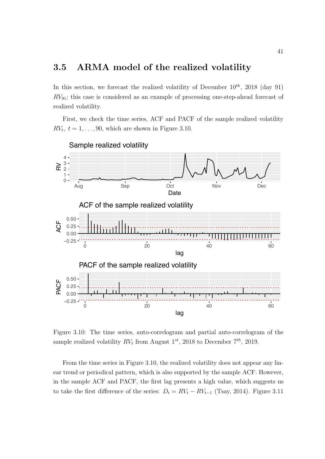### 3.5 ARMA model of the realized volatility

In this section, we forecast the realized volatility of December  $10^{th}$ , 2018 (day 91) *RV*91; this case is considered as an example of processing one-step-ahead forecast of realized volatility.

First, we check the time series, ACF and PACF of the sample realized volatility  $RV_t$ ,  $t = 1, \ldots, 90$ , which are shown in Figure 3.10.



Figure 3.10: The time series, auto-correlogram and partial auto-correlogram of the sample realized volatility  $RV_t$  from August  $1^{st}$ , 2018 to December  $7^{th}$ , 2019.

From the time series in Figure 3.10, the realized volatility does not appear any linear trend or periodical pattern, which is also supported by the sample ACF. However, in the sample ACF and PACF, the first lag presents a high value, which suggests us to take the first difference of the series:  $D_t = RV_t - RV_{t-1}$  (Tsay, 2014). Figure 3.11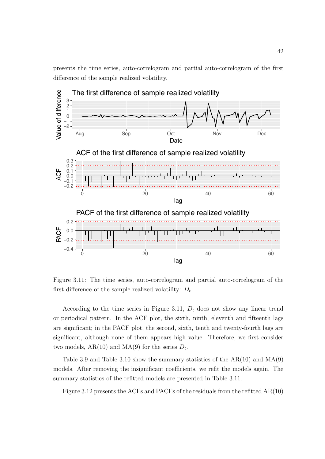presents the time series, auto-correlogram and partial auto-correlogram of the first difference of the sample realized volatility.



Figure 3.11: The time series, auto-correlogram and partial auto-correlogram of the first difference of the sample realized volatility: *Dt*.

According to the time series in Figure 3.11, *D<sup>t</sup>* does not show any linear trend or periodical pattern. In the ACF plot, the sixth, ninth, eleventh and fifteenth lags are significant; in the PACF plot, the second, sixth, tenth and twenty-fourth lags are significant, although none of them appears high value. Therefore, we first consider two models,  $AR(10)$  and  $MA(9)$  for the series  $D_t$ .

Table 3.9 and Table 3.10 show the summary statistics of the  $AR(10)$  and  $MA(9)$ models. After removing the insignificant coefficients, we refit the models again. The summary statistics of the refitted models are presented in Table 3.11.

Figure 3.12 presents the ACFs and PACFs of the residuals from the refitted AR(10)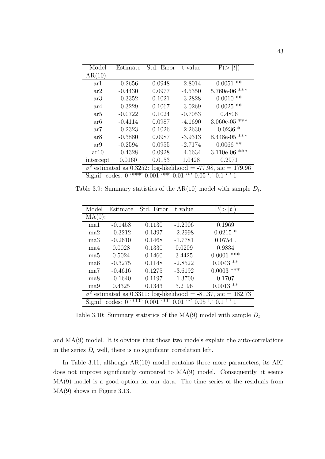| Model                                                                                               | Estimate  | Std. Error | t value   | t <br>Р          |
|-----------------------------------------------------------------------------------------------------|-----------|------------|-----------|------------------|
| $AR(10)$ :                                                                                          |           |            |           |                  |
| ar1                                                                                                 | $-0.2656$ | 0.0948     | $-2.8014$ | $***$<br>0.0051  |
| ar2                                                                                                 | $-0.4430$ | 0.0977     | $-4.5350$ | ***<br>5.760e-06 |
| ar3                                                                                                 | $-0.3352$ | 0.1021     | $-3.2828$ | $***$<br>0.0010  |
| ar4                                                                                                 | $-0.3229$ | 0.1067     | $-3.0269$ | $0.0025$ **      |
| ar5                                                                                                 | $-0.0722$ | 0.1024     | $-0.7053$ | 0.4806           |
| ar6                                                                                                 | $-0.4114$ | 0.0987     | $-4.1690$ | $3.060e-05$ ***  |
| ar7                                                                                                 | $-0.2323$ | 0.1026     | $-2.2630$ | $0.0236*$        |
| ar <sub>8</sub>                                                                                     | $-0.3880$ | 0.0987     | $-3.9313$ | ***<br>8.448e-05 |
| ar9                                                                                                 | $-0.2594$ | 0.0955     | $-2.7174$ | $***$<br>0.0066  |
| ar10                                                                                                | $-0.4328$ | 0.0928     | $-4.6634$ | ***<br>3.110e-06 |
| intercept                                                                                           | 0.0160    | 0.0153     | 1.0428    | 0.2971           |
| $\sigma^2$ estimated as 0.3252: log-likelihood = -77.98, aic = 179.96                               |           |            |           |                  |
| (***)<br>(**)<br>$(\ast)$<br>$\cdot$ , 1<br>0.01<br>$0.05$ $\degree$ 0.1<br>Signif. codes:<br>0.001 |           |            |           |                  |

Table 3.9: Summary statistics of the  $AR(10)$  model with sample  $D_t$ .

| Model                                                                 | Estimate                  | Std. Error    | t value   | Ρ<br> t                                                        |
|-----------------------------------------------------------------------|---------------------------|---------------|-----------|----------------------------------------------------------------|
| MA(9):                                                                |                           |               |           |                                                                |
| ma1                                                                   | $-0.1458$                 | 0.1130        | $-1.2906$ | 0.1969                                                         |
| ma2                                                                   | $-0.3212$                 | 0.1397        | $-2.2998$ | $0.0215*$                                                      |
| $_{\rm ma3}$                                                          | $-0.2610$                 | 0.1468        | $-1.7781$ | $0.0754$ .                                                     |
| ma4                                                                   | 0.0028                    | 0.1330        | 0.0209    | 0.9834                                                         |
| ma5                                                                   | 0.5024                    | 0.1460        | 3.4425    | $0.0006$ ***                                                   |
| ma6                                                                   | $-0.3275$                 | 0.1148        | $-2.8522$ | $0.0043$ **                                                    |
| ma7                                                                   | $-0.4616$                 | 0.1275        | $-3.6192$ | $0.0003$ ***                                                   |
| ma8                                                                   | $-0.1640$                 | 0.1197        | $-1.3700$ | 0.1707                                                         |
| ma9                                                                   | 0.4325                    | 0.1343        | 3.2196    | $0.0013$ **                                                    |
| $\sigma^2$ estimated as 0.3311: log-likelihood = -81.37, aic = 182.73 |                           |               |           |                                                                |
|                                                                       | (***)<br>Signif. codes: 0 | (**)<br>0.001 | 0.01      | $\xrightarrow{(*)} 0.05 \xrightarrow{'} 0.1 \xrightarrow{'} 1$ |

Table 3.10: Summary statistics of the MA(9) model with sample *Dt*.

and MA(9) model. It is obvious that those two models explain the auto-correlations in the series  $D_t$  well, there is no significant correlation left.

In Table 3.11, although AR(10) model contains three more parameters, its AIC does not improve significantly compared to  $MA(9)$  model. Consequently, it seems MA(9) model is a good option for our data. The time series of the residuals from MA(9) shows in Figure 3.13.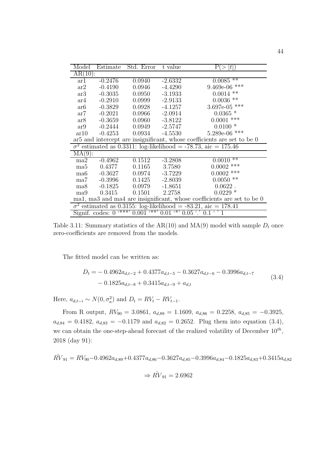| Model                                                                   | Estimate  | Std. Error        | t value   | Pι<br> t        |
|-------------------------------------------------------------------------|-----------|-------------------|-----------|-----------------|
| $AR(10)$ :                                                              |           |                   |           |                 |
| $\mathrm{ar}1$                                                          | $-0.2476$ | 0.0940            | $-2.6332$ | $0.0085$ **     |
| ar2                                                                     | $-0.4190$ | 0.0946            | $-4.4290$ | $9.469e-06$ *** |
| ar3                                                                     | $-0.3035$ | 0.0950            | $-3.1933$ | $0.0014$ **     |
| ar4                                                                     | $-0.2910$ | 0.0999            | $-2.9133$ | $0.0036$ **     |
| ar6                                                                     | $-0.3829$ | 0.0928            | $-4.1257$ | 3.697e-05 ***   |
| ar7                                                                     | $-0.2021$ | 0.0966            | $-2.0914$ | $0.0365*$       |
| ar8                                                                     | $-0.3659$ | $0.0960 -3.8122$  |           | $0.0001$ ***    |
| $\arg$                                                                  | $-0.2444$ | $0.0949 -2.5747$  |           | $0.0100*$       |
| ar10                                                                    | $-0.4253$ | $0.0934 -4.5530$  |           | $5.289e-06$ *** |
| ar5 and intercept are insignificant, whose coefficients are set to be 0 |           |                   |           |                 |
| $\sigma^2$ estimated as 0.3311: log-likelihood = -78.73, aic = 175.46   |           |                   |           |                 |
| MA(9):                                                                  |           |                   |           |                 |
| ma2                                                                     | $-0.4962$ | 0.1512            | $-3.2808$ | **<br>0.0010    |
| ma <sub>5</sub>                                                         | 0.4377    | 0.1165            | 3.7580    | $0.0002$ ***    |
| ma <sub>6</sub>                                                         | $-0.3627$ | 0.0974            | $-3.7229$ | $0.0002$ ***    |
| ma7                                                                     | $-0.3996$ | $0.1425 - 2.8039$ |           | $0.0050$ **     |
| ma8                                                                     | $-0.1825$ | 0.0979            | $-1.8651$ | 0.0622          |
| ma9                                                                     | 0.3415    | 0.1501            | 2.2758    | $0.0229*$       |
| ma1, ma3 and ma4 are insignificant, whose coefficients are set to be 0  |           |                   |           |                 |
| $\sigma^2$ estimated as 0.3155: log-likelihood = -83.21, aic = 178.41   |           |                   |           |                 |
| Signif. codes: $0$ '***' $0.001$ '**' $0.01$ '*' $0.05$ '.' $0.1$ ' ' 1 |           |                   |           |                 |

Table 3.11: Summary statistics of the  $AR(10)$  and  $MA(9)$  model with sample  $D_t$  once zero-coefficients are removed from the models.

The fitted model can be written as:

$$
D_{t} = -0.4962a_{d,t-2} + 0.4377a_{d,t-5} - 0.3627a_{d,t-6} - 0.3996a_{d,t-7}
$$
  
- 0.1825a\_{d,t-8} + 0.3415a\_{d,t-9} + a\_{d,t} (3.4)

Here,  $a_{d,t-i}$  ∼  $N(0, \sigma_a^2)$  and  $D_t = RV_t - RV_{t-1}$ .

From R output,  $RV_{90} = 3.0861$ ,  $a_{d,89} = 1.1609$ ,  $a_{d,86} = 0.2258$ ,  $a_{d,85} = -0.3925$ ,  $a_{d,84} = 0.4182$ ,  $a_{d,83} = -0.1179$  and  $a_{d,82} = 0.2652$ . Plug them into equation (3.4), we can obtain the one-step-ahead forecast of the realized volatility of December 10*th*, 2018 (day 91):

$$
\hat{RV}_{91} = RV_{90} - 0.4962a_{d,89} + 0.4377a_{d,86} - 0.3627a_{d,85} - 0.3996a_{d,84} - 0.1825a_{d,83} + 0.3415a_{d,82}
$$

$$
\Rightarrow \hat{RV}_{91} = 2.6962
$$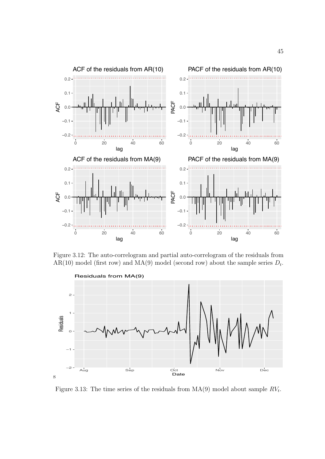

Figure 3.12: The auto-correlogram and partial auto-correlogram of the residuals from AR(10) model (first row) and  $MA(9)$  model (second row) about the sample series  $D_t$ .



Figure 3.13: The time series of the residuals from MA(9) model about sample *RVt*.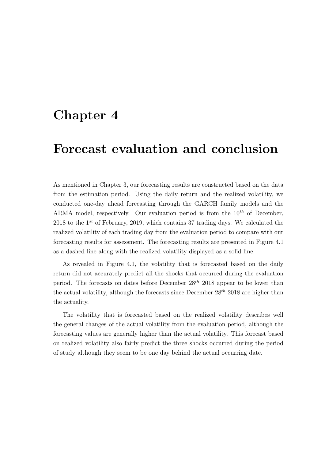### Chapter 4

### Forecast evaluation and conclusion

As mentioned in Chapter 3, our forecasting results are constructed based on the data from the estimation period. Using the daily return and the realized volatility, we conducted one-day ahead forecasting through the GARCH family models and the ARMA model, respectively. Our evaluation period is from the 10*th* of December, 2018 to the 1*st* of February, 2019, which contains 37 trading days. We calculated the realized volatility of each trading day from the evaluation period to compare with our forecasting results for assessment. The forecasting results are presented in Figure 4.1 as a dashed line along with the realized volatility displayed as a solid line.

As revealed in Figure 4.1, the volatility that is forecasted based on the daily return did not accurately predict all the shocks that occurred during the evaluation period. The forecasts on dates before December 28*th* 2018 appear to be lower than the actual volatility, although the forecasts since December 28*th* 2018 are higher than the actuality.

The volatility that is forecasted based on the realized volatility describes well the general changes of the actual volatility from the evaluation period, although the forecasting values are generally higher than the actual volatility. This forecast based on realized volatility also fairly predict the three shocks occurred during the period of study although they seem to be one day behind the actual occurring date.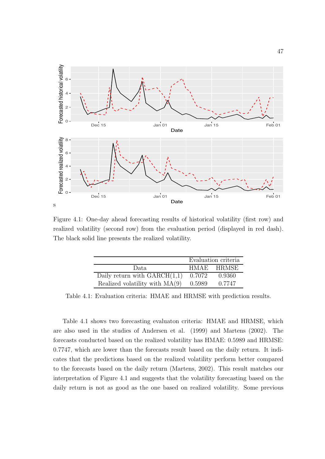

Figure 4.1: One-day ahead forecasting results of historical volatility (first row) and realized volatility (second row) from the evaluation period (displayed in red dash). The black solid line presents the realized volatility.

|                                  | Evaluation criteria |            |
|----------------------------------|---------------------|------------|
| Data.                            |                     | HMAE HRMSE |
| Daily return with $GARCH(1,1)$   | 0.7072              | 0.9360     |
| Realized volatility with $MA(9)$ | 0.5989              | 0.7747     |

Table 4.1: Evaluation criteria: HMAE and HRMSE with prediction results.

Table 4.1 shows two forecasting evaluaton criteria: HMAE and HRMSE, which are also used in the studies of Andersen et al. (1999) and Martens (2002). The forecasts conducted based on the realized volatility has HMAE: 0.5989 and HRMSE: 0.7747, which are lower than the forecasts result based on the daily return. It indicates that the predictions based on the realized volatility perform better compared to the forecasts based on the daily return (Martens, 2002). This result matches our interpretation of Figure 4.1 and suggests that the volatility forecasting based on the daily return is not as good as the one based on realized volatility. Some previous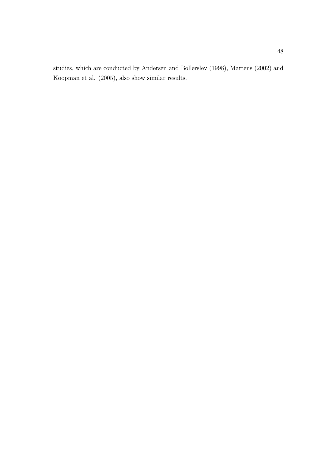studies, which are conducted by Andersen and Bollerslev (1998), Martens (2002) and Koopman et al. (2005), also show similar results.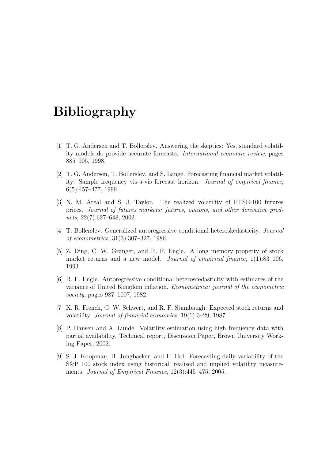## Bibliography

- [1] T. G. Andersen and T. Bollerslev. Answering the skeptics: Yes, standard volatility models do provide accurate forecasts. *International economic review*, pages 885–905, 1998.
- [2] T. G. Andersen, T. Bollerslev, and S. Lange. Forecasting financial market volatility: Sample frequency vis-a-vis forecast horizon. *Journal of empirical finance*, 6(5):457–477, 1999.
- [3] N. M. Areal and S. J. Taylor. The realized volatility of FTSE-100 futures prices. *Journal of futures markets: futures, options, and other derivative products*, 22(7):627–648, 2002.
- [4] T. Bollerslev. Generalized autoregressive conditional heteroskedasticity. *Journal of econometrics*, 31(3):307–327, 1986.
- [5] Z. Ding, C. W. Granger, and R. F. Engle. A long memory property of stock market returns and a new model. *Journal of empirical finance*, 1(1):83–106, 1993.
- [6] R. F. Engle. Autoregressive conditional heteroscedasticity with estimates of the variance of United Kingdom inflation. *Econometrica: journal of the econometric society*, pages 987–1007, 1982.
- [7] K. R. French, G. W. Schwert, and R. F. Stambaugh. Expected stock returns and volatility. *Journal of financial economics*, 19(1):3–29, 1987.
- [8] P. Hansen and A. Lunde. Volatility estimation using high frequency data with partial availability. Technical report, Discussion Paper, Brown University Working Paper, 2002.
- [9] S. J. Koopman, B. Jungbacker, and E. Hol. Forecasting daily variability of the S&P 100 stock index using historical, realised and implied volatility measurements. *Journal of Empirical Finance*, 12(3):445–475, 2005.